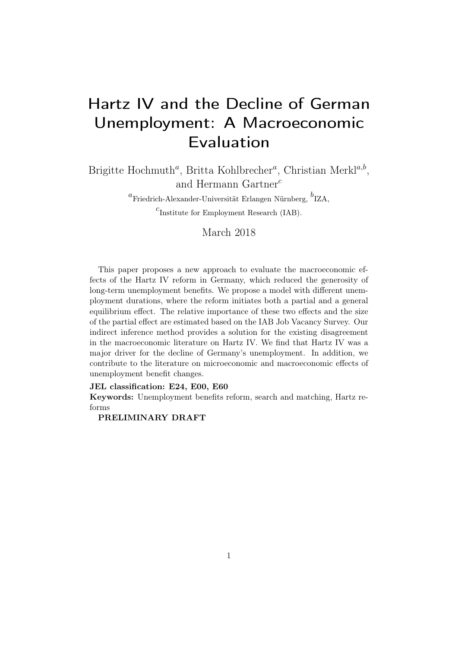# Hartz IV and the Decline of German Unemployment: A Macroeconomic Evaluation

Brigitte Hochmuth<sup>a</sup>, Britta Kohlbrecher<sup>a</sup>, Christian Merkl<sup>a,b</sup>, and Hermann Gartner<sup>c</sup>

 ${}^a$ Friedrich-Alexander-Universität Erlangen Nürnberg,  ${}^b$ IZA,

 $c<sub>I</sub>$  Institute for Employment Research (IAB).

March 2018

This paper proposes a new approach to evaluate the macroeconomic effects of the Hartz IV reform in Germany, which reduced the generosity of long-term unemployment benefits. We propose a model with different unemployment durations, where the reform initiates both a partial and a general equilibrium effect. The relative importance of these two effects and the size of the partial effect are estimated based on the IAB Job Vacancy Survey. Our indirect inference method provides a solution for the existing disagreement in the macroeconomic literature on Hartz IV. We find that Hartz IV was a major driver for the decline of Germany's unemployment. In addition, we contribute to the literature on microeconomic and macroeconomic effects of unemployment benefit changes.

#### JEL classification: E24, E00, E60

Keywords: Unemployment benefits reform, search and matching, Hartz reforms

#### PRELIMINARY DRAFT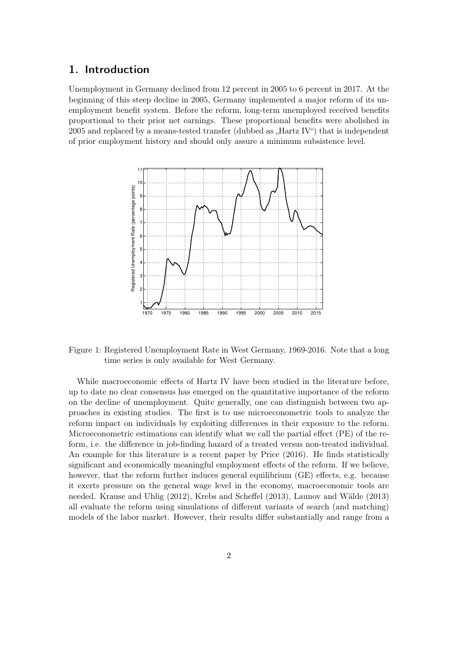# 1. Introduction

Unemployment in Germany declined from 12 percent in 2005 to 6 percent in 2017. At the beginning of this steep decline in 2005, Germany implemented a major reform of its unemployment benefit system. Before the reform, long-term unemployed received benefits proportional to their prior net earnings. These proportional benefits were abolished in 2005 and replaced by a means-tested transfer (dubbed as  $Hartz IV''$ ) that is independent of prior employment history and should only assure a minimum subsistence level.



Figure 1: Registered Unemployment Rate in West Germany, 1969-2016. Note that a long time series is only available for West Germany.

While macroeconomic effects of Hartz IV have been studied in the literature before, up to date no clear consensus has emerged on the quantitative importance of the reform on the decline of unemployment. Quite generally, one can distinguish between two approaches in existing studies. The first is to use microeconometric tools to analyze the reform impact on individuals by exploiting differences in their exposure to the reform. Microeconometric estimations can identify what we call the partial effect (PE) of the reform, i.e. the difference in job-finding hazard of a treated versus non-treated individual. An example for this literature is a recent paper by [Price](#page-28-0) [\(2016\)](#page-28-0). He finds statistically significant and economically meaningful employment effects of the reform. If we believe, however, that the reform further induces general equilibrium (GE) effects, e.g. because it exerts pressure on the general wage level in the economy, macroeconomic tools are needed. [Krause and Uhlig](#page-27-0) [\(2012\)](#page-27-0), [Krebs and Scheffel](#page-27-1) [\(2013\)](#page-27-1), [Launov and Wälde](#page-27-2) [\(2013\)](#page-27-2) all evaluate the reform using simulations of different variants of search (and matching) models of the labor market. However, their results differ substantially and range from a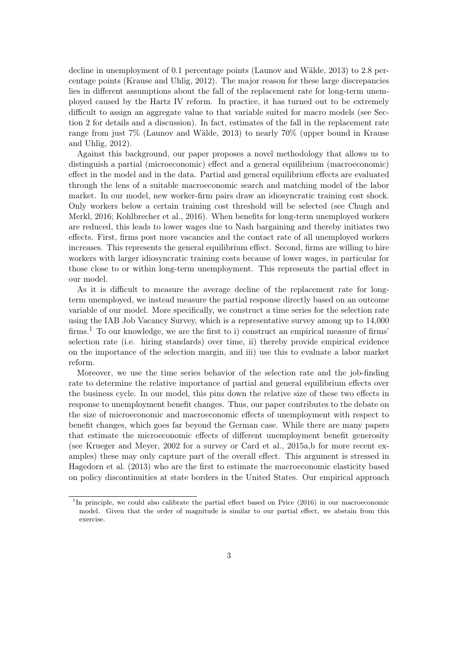decline in unemployment of 0.1 percentage points [\(Launov and Wälde, 2013\)](#page-27-2) to 2.8 percentage points [\(Krause and Uhlig, 2012\)](#page-27-0). The major reason for these large discrepancies lies in different assumptions about the fall of the replacement rate for long-term unemployed caused by the Hartz IV reform. In practice, it has turned out to be extremely difficult to assign an aggregate value to that variable suited for macro models (see Section [2](#page-3-0) for details and a discussion). In fact, estimates of the fall in the replacement rate range from just 7% [\(Launov and Wälde, 2013\)](#page-27-2) to nearly 70% (upper bound in [Krause](#page-27-0) [and Uhlig, 2012\)](#page-27-0).

Against this background, our paper proposes a novel methodology that allows us to distinguish a partial (microeconomic) effect and a general equilibrium (macroeconomic) effect in the model and in the data. Partial and general equilibrium effects are evaluated through the lens of a suitable macroeconomic search and matching model of the labor market. In our model, new worker-firm pairs draw an idiosyncratic training cost shock. Only workers below a certain training cost threshold will be selected (see [Chugh and](#page-27-3) [Merkl, 2016;](#page-27-3) [Kohlbrecher et al., 2016\)](#page-27-4). When benefits for long-term unemployed workers are reduced, this leads to lower wages due to Nash bargaining and thereby initiates two effects. First, firms post more vacancies and the contact rate of all unemployed workers increases. This represents the general equilibrium effect. Second, firms are willing to hire workers with larger idiosyncratic training costs because of lower wages, in particular for those close to or within long-term unemployment. This represents the partial effect in our model.

As it is difficult to measure the average decline of the replacement rate for longterm unemployed, we instead measure the partial response directly based on an outcome variable of our model. More specifically, we construct a time series for the selection rate using the IAB Job Vacancy Survey, which is a representative survey among up to 14,000 firms.<sup>[1](#page-2-0)</sup> To our knowledge, we are the first to i) construct an empirical measure of firms' selection rate (i.e. hiring standards) over time, ii) thereby provide empirical evidence on the importance of the selection margin, and iii) use this to evaluate a labor market reform.

Moreover, we use the time series behavior of the selection rate and the job-finding rate to determine the relative importance of partial and general equilibrium effects over the business cycle. In our model, this pins down the relative size of these two effects in response to unemployment benefit changes. Thus, our paper contributes to the debate on the size of microeconomic and macroeconomic effects of unemployment with respect to benefit changes, which goes far beyond the German case. While there are many papers that estimate the microeconomic effects of different unemployment benefit generosity (see [Krueger and Meyer, 2002](#page-27-5) for a survey or [Card et al., 2015a,](#page-27-6)[b](#page-27-7) for more recent examples) these may only capture part of the overall effect. This argument is stressed in [Hagedorn et al.](#page-27-8) [\(2013\)](#page-27-8) who are the first to estimate the macroeconomic elasticity based on policy discontinuities at state borders in the United States. Our empirical approach

<span id="page-2-0"></span><sup>&</sup>lt;sup>1</sup>In principle, we could also calibrate the partial effect based on Price (2016) in our macroeconomic model. Given that the order of magnitude is similar to our partial effect, we abstain from this exercise.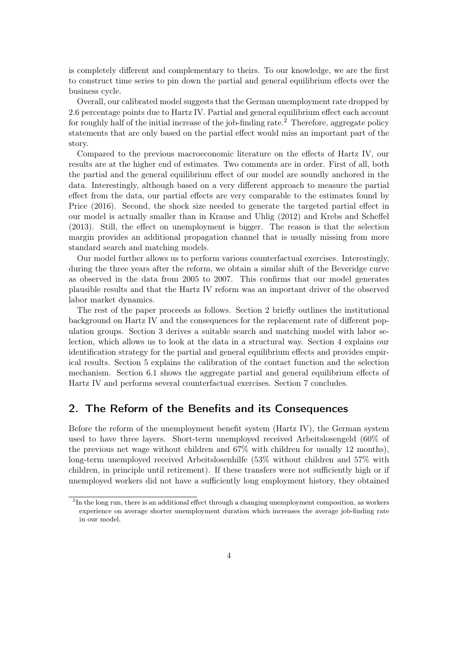is completely different and complementary to theirs. To our knowledge, we are the first to construct time series to pin down the partial and general equilibrium effects over the business cycle.

Overall, our calibrated model suggests that the German unemployment rate dropped by 2.6 percentage points due to Hartz IV. Partial and general equilibrium effect each account for roughly half of the initial increase of the job-finding rate.<sup>[2](#page-3-1)</sup> Therefore, aggregate policy statements that are only based on the partial effect would miss an important part of the story.

Compared to the previous macroeconomic literature on the effects of Hartz IV, our results are at the higher end of estimates. Two comments are in order. First of all, both the partial and the general equilibrium effect of our model are soundly anchored in the data. Interestingly, although based on a very different approach to measure the partial effect from the data, our partial effects are very comparable to the estimates found by [Price](#page-28-0) [\(2016\)](#page-28-0). Second, the shock size needed to generate the targeted partial effect in our model is actually smaller than in [Krause and Uhlig](#page-27-0) [\(2012\)](#page-27-0) and [Krebs and Scheffel](#page-27-1) [\(2013\)](#page-27-1). Still, the effect on unemployment is bigger. The reason is that the selection margin provides an additional propagation channel that is usually missing from more standard search and matching models.

Our model further allows us to perform various counterfactual exercises. Interestingly, during the three years after the reform, we obtain a similar shift of the Beveridge curve as observed in the data from 2005 to 2007. This confirms that our model generates plausible results and that the Hartz IV reform was an important driver of the observed labor market dynamics.

The rest of the paper proceeds as follows. Section [2](#page-3-0) briefly outlines the institutional background on Hartz IV and the consequences for the replacement rate of different population groups. Section [3](#page-5-0) derives a suitable search and matching model with labor selection, which allows us to look at the data in a structural way. Section [4](#page-10-0) explains our identification strategy for the partial and general equilibrium effects and provides empirical results. Section [5](#page-17-0) explains the calibration of the contact function and the selection mechanism. Section [6.1](#page-19-0) shows the aggregate partial and general equilibrium effects of Hartz IV and performs several counterfactual exercises. Section [7](#page-25-0) concludes.

# <span id="page-3-0"></span>2. The Reform of the Benefits and its Consequences

Before the reform of the unemployment benefit system (Hartz IV), the German system used to have three layers. Short-term unemployed received Arbeitslosengeld (60% of the previous net wage without children and 67% with children for usually 12 months), long-term unemployed received Arbeitslosenhilfe (53% without children and 57% with children, in principle until retirement). If these transfers were not sufficiently high or if unemployed workers did not have a sufficiently long employment history, they obtained

<span id="page-3-1"></span> $2<sup>2</sup>$ In the long run, there is an additional effect through a changing unemployment composition, as workers experience on average shorter unemployment duration which increases the average job-finding rate in our model.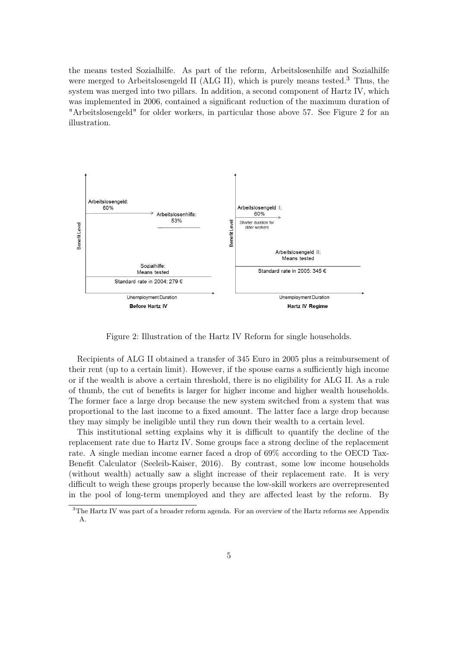the means tested Sozialhilfe. As part of the reform, Arbeitslosenhilfe and Sozialhilfe were merged to Arbeitslosengeld II (ALG II), which is purely means tested.<sup>[3](#page-4-0)</sup> Thus, the system was merged into two pillars. In addition, a second component of Hartz IV, which was implemented in 2006, contained a significant reduction of the maximum duration of "Arbeitslosengeld" for older workers, in particular those above 57. See Figure [2](#page-4-1) for an illustration.

<span id="page-4-1"></span>

Figure 2: Illustration of the Hartz IV Reform for single households.

Recipients of ALG II obtained a transfer of 345 Euro in 2005 plus a reimbursement of their rent (up to a certain limit). However, if the spouse earns a sufficiently high income or if the wealth is above a certain threshold, there is no eligibility for ALG II. As a rule of thumb, the cut of benefits is larger for higher income and higher wealth households. The former face a large drop because the new system switched from a system that was proportional to the last income to a fixed amount. The latter face a large drop because they may simply be ineligible until they run down their wealth to a certain level.

This institutional setting explains why it is difficult to quantify the decline of the replacement rate due to Hartz IV. Some groups face a strong decline of the replacement rate. A single median income earner faced a drop of 69% according to the OECD Tax-Benefit Calculator [\(Seeleib-Kaiser, 2016\)](#page-28-1). By contrast, some low income households (without wealth) actually saw a slight increase of their replacement rate. It is very difficult to weigh these groups properly because the low-skill workers are overrepresented in the pool of long-term unemployed and they are affected least by the reform. By

<span id="page-4-0"></span><sup>&</sup>lt;sup>3</sup>The Hartz IV was part of a broader reform agenda. For an overview of the Hartz reforms see Appendix [A.](#page-29-0)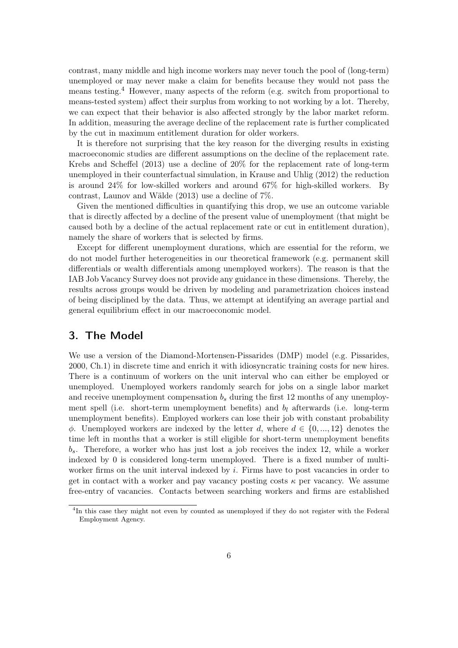contrast, many middle and high income workers may never touch the pool of (long-term) unemployed or may never make a claim for benefits because they would not pass the means testing.[4](#page-5-1) However, many aspects of the reform (e.g. switch from proportional to means-tested system) affect their surplus from working to not working by a lot. Thereby, we can expect that their behavior is also affected strongly by the labor market reform. In addition, measuring the average decline of the replacement rate is further complicated by the cut in maximum entitlement duration for older workers.

It is therefore not surprising that the key reason for the diverging results in existing macroeconomic studies are different assumptions on the decline of the replacement rate. [Krebs and Scheffel](#page-27-1) [\(2013\)](#page-27-1) use a decline of 20% for the replacement rate of long-term unemployed in their counterfactual simulation, in [Krause and Uhlig](#page-27-0) [\(2012\)](#page-27-0) the reduction is around 24% for low-skilled workers and around 67% for high-skilled workers. By contrast, [Launov and Wälde](#page-27-2) [\(2013\)](#page-27-2) use a decline of 7%.

Given the mentioned difficulties in quantifying this drop, we use an outcome variable that is directly affected by a decline of the present value of unemployment (that might be caused both by a decline of the actual replacement rate or cut in entitlement duration), namely the share of workers that is selected by firms.

Except for different unemployment durations, which are essential for the reform, we do not model further heterogeneities in our theoretical framework (e.g. permanent skill differentials or wealth differentials among unemployed workers). The reason is that the IAB Job Vacancy Survey does not provide any guidance in these dimensions. Thereby, the results across groups would be driven by modeling and parametrization choices instead of being disciplined by the data. Thus, we attempt at identifying an average partial and general equilibrium effect in our macroeconomic model.

### <span id="page-5-0"></span>3. The Model

We use a version of the Diamond-Mortensen-Pissarides (DMP) model (e.g. [Pissarides,](#page-28-2) [2000,](#page-28-2) Ch.1) in discrete time and enrich it with idiosyncratic training costs for new hires. There is a continuum of workers on the unit interval who can either be employed or unemployed. Unemployed workers randomly search for jobs on a single labor market and receive unemployment compensation  $b_s$  during the first 12 months of any unemployment spell (i.e. short-term unemployment benefits) and  $b_l$  afterwards (i.e. long-term unemployment benefits). Employed workers can lose their job with constant probability  $\phi$ . Unemployed workers are indexed by the letter d, where  $d \in \{0, ..., 12\}$  denotes the time left in months that a worker is still eligible for short-term unemployment benefits  $b_s$ . Therefore, a worker who has just lost a job receives the index 12, while a worker indexed by 0 is considered long-term unemployed. There is a fixed number of multiworker firms on the unit interval indexed by  $i$ . Firms have to post vacancies in order to get in contact with a worker and pay vacancy posting costs  $\kappa$  per vacancy. We assume free-entry of vacancies. Contacts between searching workers and firms are established

<span id="page-5-1"></span><sup>&</sup>lt;sup>4</sup>In this case they might not even by counted as unemployed if they do not register with the Federal Employment Agency.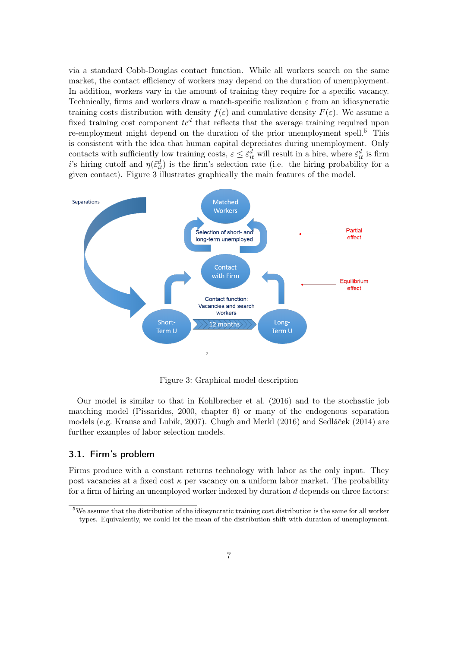via a standard Cobb-Douglas contact function. While all workers search on the same market, the contact efficiency of workers may depend on the duration of unemployment. In addition, workers vary in the amount of training they require for a specific vacancy. Technically, firms and workers draw a match-specific realization  $\varepsilon$  from an idiosyncratic training costs distribution with density  $f(\varepsilon)$  and cumulative density  $F(\varepsilon)$ . We assume a fixed training cost component  $tc^d$  that reflects that the average training required upon re-employment might depend on the duration of the prior unemployment spell.<sup>[5](#page-6-0)</sup> This is consistent with the idea that human capital depreciates during unemployment. Only contacts with sufficiently low training costs,  $\varepsilon \leq \tilde{\varepsilon}^d_{it}$  will result in a hire, where  $\tilde{\varepsilon}^d_{it}$  is firm is hiring cutoff and  $\eta(\tilde{\varepsilon}_{it}^d)$  is the firm's selection rate (i.e. the hiring probability for a given contact). Figure [3](#page-6-1) illustrates graphically the main features of the model.

<span id="page-6-1"></span>

Figure 3: Graphical model description

Our model is similar to that in [Kohlbrecher et al.](#page-27-4) [\(2016\)](#page-27-4) and to the stochastic job matching model [\(Pissarides, 2000,](#page-28-2) chapter 6) or many of the endogenous separation models (e.g. [Krause and Lubik, 2007\)](#page-27-9). [Chugh and Merkl](#page-27-3) [\(2016\)](#page-27-3) and Sedláček [\(2014\)](#page-28-3) are further examples of labor selection models.

#### 3.1. Firm's problem

Firms produce with a constant returns technology with labor as the only input. They post vacancies at a fixed cost  $\kappa$  per vacancy on a uniform labor market. The probability for a firm of hiring an unemployed worker indexed by duration  $d$  depends on three factors:

<span id="page-6-0"></span><sup>&</sup>lt;sup>5</sup>We assume that the distribution of the idiosyncratic training cost distribution is the same for all worker types. Equivalently, we could let the mean of the distribution shift with duration of unemployment.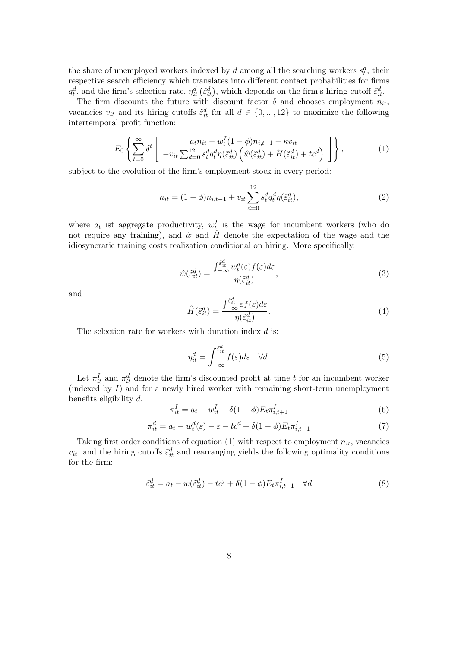the share of unemployed workers indexed by d among all the searching workers  $s_t^d$ , their respective search efficiency which translates into different contact probabilities for firms  $q_t^d$ , and the firm's selection rate,  $\eta_{it}^d$  ( $\tilde{\varepsilon}_{it}^d$ ), which depends on the firm's hiring cutoff  $\tilde{\varepsilon}_{it}^d$ .

The firm discounts the future with discount factor  $\delta$  and chooses employment  $n_{it}$ , vacancies  $v_{it}$  and its hiring cutoffs  $\tilde{\epsilon}_{it}^d$  for all  $d \in \{0, ..., 12\}$  to maximize the following intertemporal profit function:

<span id="page-7-0"></span>
$$
E_0 \left\{ \sum_{t=0}^{\infty} \delta^t \left[ a_{\text{tot}} \sum_{d=0}^{2} s_t^d q_t^d \eta(\tilde{\varepsilon}_{it}^d) \left( \hat{w}(\tilde{\varepsilon}_{it}^d) + \hat{H}(\tilde{\varepsilon}_{it}^d) + t c^d \right) \right] \right\},
$$
(1)

subject to the evolution of the firm's employment stock in every period:

$$
n_{it} = (1 - \phi)n_{i, t-1} + v_{it} \sum_{d=0}^{12} s_t^d q_t^d \eta(\tilde{\varepsilon}_{it}^d), \qquad (2)
$$

where  $a_t$  ist aggregate productivity,  $w_t^I$  is the wage for incumbent workers (who do not require any training), and  $\hat{w}$  and  $\hat{H}$  denote the expectation of the wage and the idiosyncratic training costs realization conditional on hiring. More specifically,

$$
\hat{w}(\tilde{\varepsilon}_{it}^d) = \frac{\int_{-\infty}^{\tilde{\varepsilon}_{it}^d} w_t^d(\varepsilon) f(\varepsilon) d\varepsilon}{\eta(\tilde{\varepsilon}_{it}^d)},\tag{3}
$$

and

$$
\hat{H}(\tilde{\varepsilon}_{it}^d) = \frac{\int_{-\infty}^{\tilde{\varepsilon}_{it}^d} \varepsilon f(\varepsilon) d\varepsilon}{\eta(\tilde{\varepsilon}_{it}^d)}.
$$
\n(4)

The selection rate for workers with duration index  $d$  is:

$$
\eta_{it}^d = \int_{-\infty}^{\tilde{\varepsilon}_{it}^d} f(\varepsilon) d\varepsilon \quad \forall d.
$$
\n(5)

Let  $\pi_{it}^I$  and  $\pi_{it}^d$  denote the firm's discounted profit at time t for an incumbent worker (indexed by  $I$ ) and for a newly hired worker with remaining short-term unemployment benefits eligibility d.

$$
\pi_{it}^I = a_t - w_{it}^I + \delta(1 - \phi) E_t \pi_{i, t+1}^I \tag{6}
$$

$$
\pi_{it}^d = a_t - w_t^d(\varepsilon) - \varepsilon - tc^d + \delta(1 - \phi)E_t \pi_{i, t+1}^I \tag{7}
$$

Taking first order conditions of equation [\(1\)](#page-7-0) with respect to employment  $n_{it}$ , vacancies  $v_{it}$ , and the hiring cutoffs  $\tilde{\varepsilon}^d_{it}$  and rearranging yields the following optimality conditions for the firm:

$$
\tilde{\varepsilon}_{it}^d = a_t - w(\tilde{\varepsilon}_{it}^d) - tc^j + \delta(1 - \phi)E_t \pi_{i,t+1}^I \quad \forall d
$$
\n
$$
(8)
$$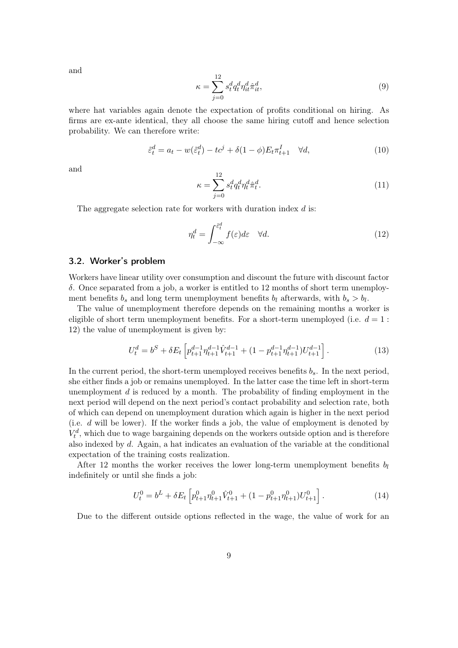and

$$
\kappa = \sum_{j=0}^{12} s_t^d q_t^d \eta_{it}^d \hat{\pi}_{it}^d,\tag{9}
$$

where hat variables again denote the expectation of profits conditional on hiring. As firms are ex-ante identical, they all choose the same hiring cutoff and hence selection probability. We can therefore write:

$$
\tilde{\varepsilon}_t^d = a_t - w(\tilde{\varepsilon}_t^d) - tc^j + \delta(1 - \phi)E_t \pi_{t+1}^I \quad \forall d,
$$
\n
$$
(10)
$$

and

$$
\kappa = \sum_{j=0}^{12} s_t^d q_t^d \eta_t^d \hat{\pi}_t^d.
$$
\n(11)

The aggregate selection rate for workers with duration index d is:

$$
\eta_t^d = \int_{-\infty}^{\tilde{\varepsilon}_t^d} f(\varepsilon) d\varepsilon \quad \forall d. \tag{12}
$$

#### 3.2. Worker's problem

Workers have linear utility over consumption and discount the future with discount factor δ. Once separated from a job, a worker is entitled to 12 months of short term unemployment benefits  $b_s$  and long term unemployment benefits  $b_l$  afterwards, with  $b_s > b_l$ .

The value of unemployment therefore depends on the remaining months a worker is eligible of short term unemployment benefits. For a short-term unemployed (i.e.  $d=1$ ): 12) the value of unemployment is given by:

$$
U_t^d = b^S + \delta E_t \left[ p_{t+1}^{d-1} \eta_{t+1}^{d-1} \hat{V}_{t+1}^{d-1} + (1 - p_{t+1}^{d-1} \eta_{t+1}^{d-1}) U_{t+1}^{d-1} \right]. \tag{13}
$$

In the current period, the short-term unemployed receives benefits  $b_s$ . In the next period, she either finds a job or remains unemployed. In the latter case the time left in short-term unemployment  $d$  is reduced by a month. The probability of finding employment in the next period will depend on the next period's contact probability and selection rate, both of which can depend on unemployment duration which again is higher in the next period (i.e. d will be lower). If the worker finds a job, the value of employment is denoted by  $V_t^d$ , which due to wage bargaining depends on the workers outside option and is therefore also indexed by d. Again, a hat indicates an evaluation of the variable at the conditional expectation of the training costs realization.

After 12 months the worker receives the lower long-term unemployment benefits  $b_l$ indefinitely or until she finds a job:

$$
U_t^0 = b^L + \delta E_t \left[ p_{t+1}^0 \eta_{t+1}^0 \hat{V}_{t+1}^0 + (1 - p_{t+1}^0 \eta_{t+1}^0) U_{t+1}^0 \right].
$$
 (14)

Due to the different outside options reflected in the wage, the value of work for an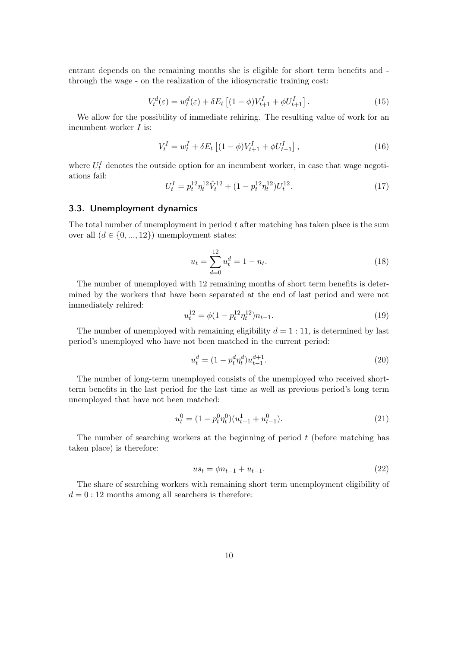entrant depends on the remaining months she is eligible for short term benefits and through the wage - on the realization of the idiosyncratic training cost:

$$
V_t^d(\varepsilon) = w_t^d(\varepsilon) + \delta E_t \left[ (1 - \phi) V_{t+1}^I + \phi U_{t+1}^I \right].
$$
 (15)

We allow for the possibility of immediate rehiring. The resulting value of work for an incumbent worker I is:

$$
V_t^I = w_t^I + \delta E_t \left[ (1 - \phi) V_{t+1}^I + \phi U_{t+1}^I \right],
$$
\n(16)

where  $U_t^I$  denotes the outside option for an incumbent worker, in case that wage negotiations fail:

$$
U_t^I = p_t^{12} \eta_t^{12} \hat{V}_t^{12} + (1 - p_t^{12} \eta_t^{12}) U_t^{12}.
$$
 (17)

#### 3.3. Unemployment dynamics

The total number of unemployment in period t after matching has taken place is the sum over all  $(d \in \{0, ..., 12\})$  unemployment states:

$$
u_t = \sum_{d=0}^{12} u_t^d = 1 - n_t.
$$
\n(18)

The number of unemployed with 12 remaining months of short term benefits is determined by the workers that have been separated at the end of last period and were not immediately rehired:

$$
u_t^{12} = \phi(1 - p_t^{12} \eta_t^{12}) n_{t-1}.
$$
\n(19)

The number of unemployed with remaining eligibility  $d = 1 : 11$ , is determined by last period's unemployed who have not been matched in the current period:

$$
u_t^d = (1 - p_t^d \eta_t^d) u_{t-1}^{d+1}.
$$
\n(20)

The number of long-term unemployed consists of the unemployed who received shortterm benefits in the last period for the last time as well as previous period's long term unemployed that have not been matched:

$$
u_t^0 = (1 - p_t^0 \eta_t^0)(u_{t-1}^1 + u_{t-1}^0). \tag{21}
$$

The number of searching workers at the beginning of period  $t$  (before matching has taken place) is therefore:

$$
us_t = \phi n_{t-1} + u_{t-1}.
$$
\n(22)

The share of searching workers with remaining short term unemployment eligibility of  $d = 0:12$  months among all searchers is therefore: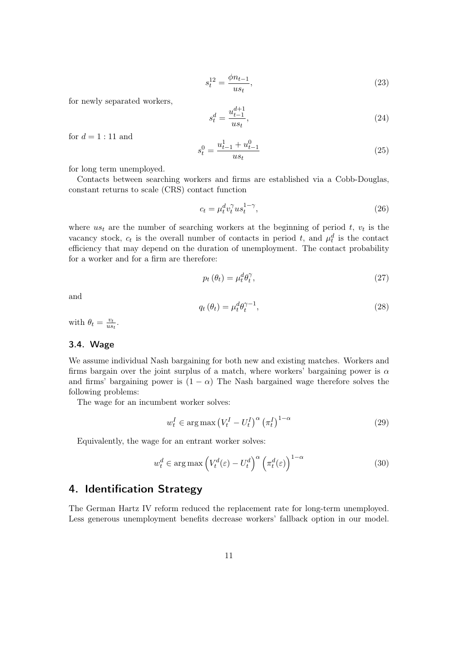$$
s_t^{12} = \frac{\phi n_{t-1}}{u s_t},\tag{23}
$$

for newly separated workers,

$$
s_t^d = \frac{u_{t-1}^{d+1}}{u_{st}},\tag{24}
$$

for  $d = 1:11$  and

$$
s_t^0 = \frac{u_{t-1}^1 + u_{t-1}^0}{u s_t} \tag{25}
$$

for long term unemployed.

Contacts between searching workers and firms are established via a Cobb-Douglas, constant returns to scale (CRS) contact function

$$
c_t = \mu_t^d v_t^{\gamma} u s_t^{1-\gamma},\tag{26}
$$

where  $us_t$  are the number of searching workers at the beginning of period t,  $v_t$  is the vacancy stock,  $c_t$  is the overall number of contacts in period t, and  $\mu_t^d$  is the contact efficiency that may depend on the duration of unemployment. The contact probability for a worker and for a firm are therefore:

$$
p_t(\theta_t) = \mu_t^d \theta_t^\gamma,\tag{27}
$$

and

$$
q_t(\theta_t) = \mu_t^d \theta_t^{\gamma - 1},\tag{28}
$$

with  $\theta_t = \frac{v_t}{u_s}$  $\frac{v_t}{us_t}$ .

#### 3.4. Wage

We assume individual Nash bargaining for both new and existing matches. Workers and firms bargain over the joint surplus of a match, where workers' bargaining power is  $\alpha$ and firms' bargaining power is  $(1 - \alpha)$  The Nash bargained wage therefore solves the following problems:

The wage for an incumbent worker solves:

$$
w_t^I \in \arg \max \left( V_t^I - U_t^I \right)^{\alpha} \left( \pi_t^I \right)^{1-\alpha} \tag{29}
$$

Equivalently, the wage for an entrant worker solves:

$$
w_t^d \in \arg \max \left( V_t^d(\varepsilon) - U_t^d \right)^{\alpha} \left( \pi_t^d(\varepsilon) \right)^{1-\alpha} \tag{30}
$$

# <span id="page-10-0"></span>4. Identification Strategy

The German Hartz IV reform reduced the replacement rate for long-term unemployed. Less generous unemployment benefits decrease workers' fallback option in our model.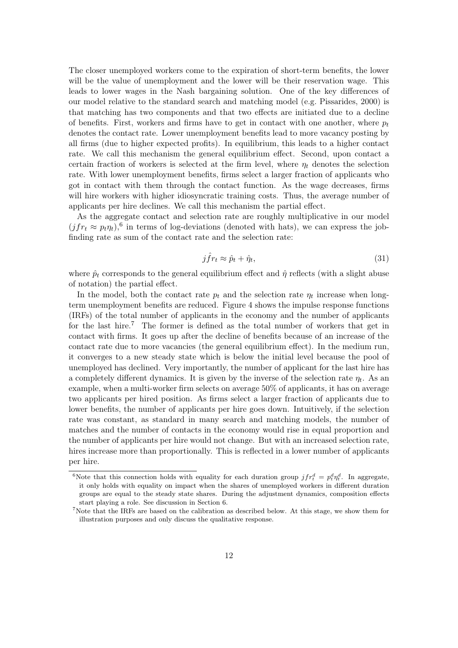The closer unemployed workers come to the expiration of short-term benefits, the lower will be the value of unemployment and the lower will be their reservation wage. This leads to lower wages in the Nash bargaining solution. One of the key differences of our model relative to the standard search and matching model (e.g. [Pissarides, 2000\)](#page-28-2) is that matching has two components and that two effects are initiated due to a decline of benefits. First, workers and firms have to get in contact with one another, where  $p_t$ denotes the contact rate. Lower unemployment benefits lead to more vacancy posting by all firms (due to higher expected profits). In equilibrium, this leads to a higher contact rate. We call this mechanism the general equilibrium effect. Second, upon contact a certain fraction of workers is selected at the firm level, where  $\eta_t$  denotes the selection rate. With lower unemployment benefits, firms select a larger fraction of applicants who got in contact with them through the contact function. As the wage decreases, firms will hire workers with higher idiosyncratic training costs. Thus, the average number of applicants per hire declines. We call this mechanism the partial effect.

As the aggregate contact and selection rate are roughly multiplicative in our model  $(jfr_t \approx p_t \eta_t)$ <sup>[6](#page-11-0)</sup> in terms of log-deviations (denoted with hats), we can express the jobfinding rate as sum of the contact rate and the selection rate:

$$
j\hat{f}r_t \approx \hat{p}_t + \hat{\eta}_t,\tag{31}
$$

where  $\hat{p}_t$  corresponds to the general equilibrium effect and  $\hat{\eta}$  reflects (with a slight abuse of notation) the partial effect.

In the model, both the contact rate  $p_t$  and the selection rate  $\eta_t$  increase when longterm unemployment benefits are reduced. Figure [4](#page-12-0) shows the impulse response functions (IRFs) of the total number of applicants in the economy and the number of applicants for the last hire.<sup>[7](#page-11-1)</sup> The former is defined as the total number of workers that get in contact with firms. It goes up after the decline of benefits because of an increase of the contact rate due to more vacancies (the general equilibrium effect). In the medium run, it converges to a new steady state which is below the initial level because the pool of unemployed has declined. Very importantly, the number of applicant for the last hire has a completely different dynamics. It is given by the inverse of the selection rate  $\eta_t$ . As an example, when a multi-worker firm selects on average 50% of applicants, it has on average two applicants per hired position. As firms select a larger fraction of applicants due to lower benefits, the number of applicants per hire goes down. Intuitively, if the selection rate was constant, as standard in many search and matching models, the number of matches and the number of contacts in the economy would rise in equal proportion and the number of applicants per hire would not change. But with an increased selection rate, hires increase more than proportionally. This is reflected in a lower number of applicants per hire.

<span id="page-11-0"></span><sup>&</sup>lt;sup>6</sup>Note that this connection holds with equality for each duration group  $jfr_t^d = p_t^d \eta_t^d$ . In aggregate, it only holds with equality on impact when the shares of unemployed workers in different duration groups are equal to the steady state shares. During the adjustment dynamics, composition effects start playing a role. See discussion in Section 6.

<span id="page-11-1"></span><sup>7</sup>Note that the IRFs are based on the calibration as described below. At this stage, we show them for illustration purposes and only discuss the qualitative response.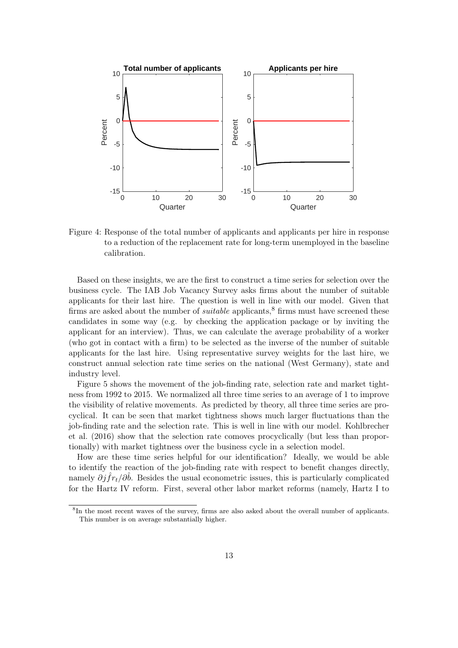<span id="page-12-0"></span>

Figure 4: Response of the total number of applicants and applicants per hire in response to a reduction of the replacement rate for long-term unemployed in the baseline calibration.

Based on these insights, we are the first to construct a time series for selection over the business cycle. The IAB Job Vacancy Survey asks firms about the number of suitable applicants for their last hire. The question is well in line with our model. Given that firms are asked about the number of *suitable* applicants,<sup>[8](#page-12-1)</sup> firms must have screened these candidates in some way (e.g. by checking the application package or by inviting the applicant for an interview). Thus, we can calculate the average probability of a worker (who got in contact with a firm) to be selected as the inverse of the number of suitable applicants for the last hire. Using representative survey weights for the last hire, we construct annual selection rate time series on the national (West Germany), state and industry level.

Figure [5](#page-13-0) shows the movement of the job-finding rate, selection rate and market tightness from 1992 to 2015. We normalized all three time series to an average of 1 to improve the visibility of relative movements. As predicted by theory, all three time series are procyclical. It can be seen that market tightness shows much larger fluctuations than the job-finding rate and the selection rate. This is well in line with our model. [Kohlbrecher](#page-27-4) [et al.](#page-27-4) [\(2016\)](#page-27-4) show that the selection rate comoves procyclically (but less than proportionally) with market tightness over the business cycle in a selection model.

How are these time series helpful for our identification? Ideally, we would be able to identify the reaction of the job-finding rate with respect to benefit changes directly, namely  $\partial j \hat{f} r_t / \partial \hat{b}$ . Besides the usual econometric issues, this is particularly complicated for the Hartz IV reform. First, several other labor market reforms (namely, Hartz I to

<span id="page-12-1"></span><sup>8</sup> In the most recent waves of the survey, firms are also asked about the overall number of applicants. This number is on average substantially higher.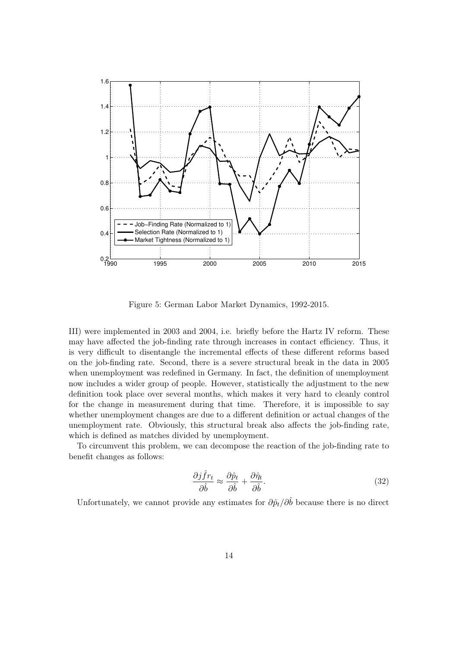<span id="page-13-0"></span>

Figure 5: German Labor Market Dynamics, 1992-2015.

III) were implemented in 2003 and 2004, i.e. briefly before the Hartz IV reform. These may have affected the job-finding rate through increases in contact efficiency. Thus, it is very difficult to disentangle the incremental effects of these different reforms based on the job-finding rate. Second, there is a severe structural break in the data in 2005 when unemployment was redefined in Germany. In fact, the definition of unemployment now includes a wider group of people. However, statistically the adjustment to the new definition took place over several months, which makes it very hard to cleanly control for the change in measurement during that time. Therefore, it is impossible to say whether unemployment changes are due to a different definition or actual changes of the unemployment rate. Obviously, this structural break also affects the job-finding rate, which is defined as matches divided by unemployment.

To circumvent this problem, we can decompose the reaction of the job-finding rate to benefit changes as follows:

$$
\frac{\partial j\hat{f}r_t}{\partial \hat{b}} \approx \frac{\partial \hat{p}_t}{\partial \hat{b}} + \frac{\partial \hat{\eta}_t}{\partial \hat{b}}.
$$
\n(32)

Unfortunately, we cannot provide any estimates for  $\partial \hat{p}_t / \partial \hat{b}$  because there is no direct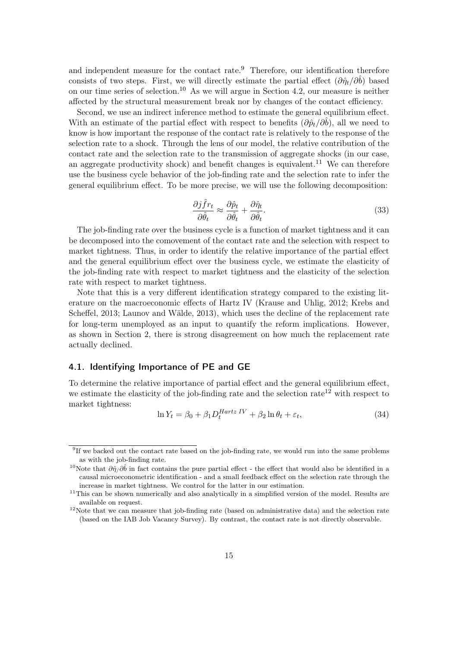and independent measure for the contact rate.<sup>[9](#page-14-0)</sup> Therefore, our identification therefore consists of two steps. First, we will directly estimate the partial effect  $(\partial \hat{\eta}_t/\partial \hat{b})$  based on our time series of selection.<sup>[10](#page-14-1)</sup> As we will argue in Section [4.2,](#page-16-0) our measure is neither affected by the structural measurement break nor by changes of the contact efficiency.

Second, we use an indirect inference method to estimate the general equilibrium effect. With an estimate of the partial effect with respect to benefits  $(\partial \hat{p}_t/\partial \hat{b})$ , all we need to know is how important the response of the contact rate is relatively to the response of the selection rate to a shock. Through the lens of our model, the relative contribution of the contact rate and the selection rate to the transmission of aggregate shocks (in our case, an aggregate productivity shock) and benefit changes is equivalent.<sup>[11](#page-14-2)</sup> We can therefore use the business cycle behavior of the job-finding rate and the selection rate to infer the general equilibrium effect. To be more precise, we will use the following decomposition:

$$
\frac{\partial j\hat{f}r_t}{\partial \hat{\theta}_t} \approx \frac{\partial \hat{p}_t}{\partial \hat{\theta}_t} + \frac{\partial \hat{\eta}_t}{\partial \hat{\theta}_t}.\tag{33}
$$

The job-finding rate over the business cycle is a function of market tightness and it can be decomposed into the comovement of the contact rate and the selection with respect to market tightness. Thus, in order to identify the relative importance of the partial effect and the general equilibrium effect over the business cycle, we estimate the elasticity of the job-finding rate with respect to market tightness and the elasticity of the selection rate with respect to market tightness.

Note that this is a very different identification strategy compared to the existing literature on the macroeconomic effects of Hartz IV [\(Krause and Uhlig, 2012;](#page-27-0) [Krebs and](#page-27-1) [Scheffel, 2013;](#page-27-1) [Launov and Wälde, 2013\)](#page-27-2), which uses the decline of the replacement rate for long-term unemployed as an input to quantify the reform implications. However, as shown in Section 2, there is strong disagreement on how much the replacement rate actually declined.

#### 4.1. Identifying Importance of PE and GE

To determine the relative importance of partial effect and the general equilibrium effect, we estimate the elasticity of the job-finding rate and the selection rate<sup>[12](#page-14-3)</sup> with respect to market tightness:

$$
\ln Y_t = \beta_0 + \beta_1 D_t^{Hartz\ IV} + \beta_2 \ln \theta_t + \varepsilon_t,\tag{34}
$$

<span id="page-14-0"></span><sup>&</sup>lt;sup>9</sup>If we backed out the contact rate based on the job-finding rate, we would run into the same problems as with the job-finding rate.

<span id="page-14-1"></span><sup>&</sup>lt;sup>10</sup>Note that  $\partial \hat{\eta}/\partial \hat{b}$  in fact contains the pure partial effect - the effect that would also be identified in a causal microeconometric identification - and a small feedback effect on the selection rate through the increase in market tightness. We control for the latter in our estimation.

<span id="page-14-2"></span><sup>&</sup>lt;sup>11</sup>This can be shown numerically and also analytically in a simplified version of the model. Results are available on request.

<span id="page-14-3"></span> $12$ Note that we can measure that job-finding rate (based on administrative data) and the selection rate (based on the IAB Job Vacancy Survey). By contrast, the contact rate is not directly observable.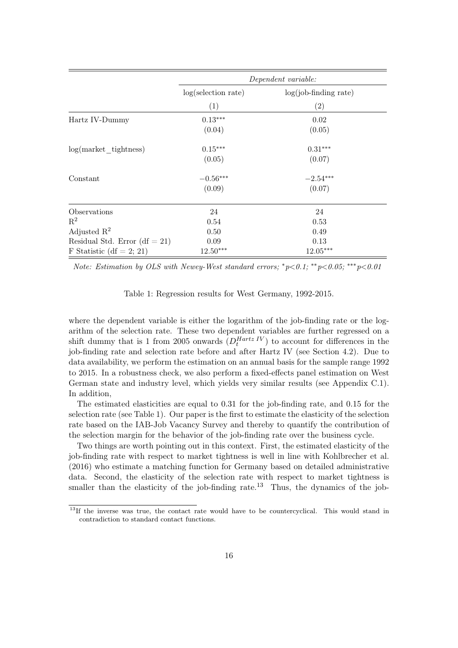<span id="page-15-0"></span>

|                                 | Dependent variable: |                         |  |
|---------------------------------|---------------------|-------------------------|--|
|                                 | log(selection rate) | $log(job-finding rate)$ |  |
|                                 | (1)                 | $\left( 2\right)$       |  |
| Hartz IV-Dummy                  | $0.13***$           | 0.02                    |  |
|                                 | (0.04)              | (0.05)                  |  |
| $log(maxket$ tightness)         | $0.15***$           | $0.31***$               |  |
|                                 | (0.05)              | (0.07)                  |  |
| Constant                        | $-0.56***$          | $-2.54***$              |  |
|                                 | (0.09)              | (0.07)                  |  |
| Observations                    | 24                  | 24                      |  |
| $\mathbf{R}^2$                  | 0.54                | 0.53                    |  |
| Adjusted $\mathbb{R}^2$         | 0.50                | 0.49                    |  |
| Residual Std. Error $(df = 21)$ | 0.09                | 0.13                    |  |
| F Statistic (df = 2; 21)        | $12.50***$          | $12.05***$              |  |

Note: Estimation by OLS with Newey-West standard errors;  $\sqrt[e]{\text{p1}}$ ; \*\* $p < 0.05$ ; \*\*\* $p < 0.01$ 

Table 1: Regression results for West Germany, 1992-2015.

where the dependent variable is either the logarithm of the job-finding rate or the logarithm of the selection rate. These two dependent variables are further regressed on a shift dummy that is 1 from 2005 onwards  $(D_t^{Hartz\ IV})$  to account for differences in the job-finding rate and selection rate before and after Hartz IV (see Section [4.2\)](#page-16-0). Due to data availability, we perform the estimation on an annual basis for the sample range 1992 to 2015. In a robustness check, we also perform a fixed-effects panel estimation on West German state and industry level, which yields very similar results (see Appendix [C.1\)](#page-32-0). In addition,

The estimated elasticities are equal to 0.31 for the job-finding rate, and 0.15 for the selection rate (see Table [1\)](#page-15-0). Our paper is the first to estimate the elasticity of the selection rate based on the IAB-Job Vacancy Survey and thereby to quantify the contribution of the selection margin for the behavior of the job-finding rate over the business cycle.

Two things are worth pointing out in this context. First, the estimated elasticity of the job-finding rate with respect to market tightness is well in line with [Kohlbrecher et al.](#page-27-4) [\(2016\)](#page-27-4) who estimate a matching function for Germany based on detailed administrative data. Second, the elasticity of the selection rate with respect to market tightness is smaller than the elasticity of the job-finding rate.<sup>[13](#page-15-1)</sup> Thus, the dynamics of the job-

<span id="page-15-1"></span><sup>&</sup>lt;sup>13</sup>If the inverse was true, the contact rate would have to be countercyclical. This would stand in contradiction to standard contact functions.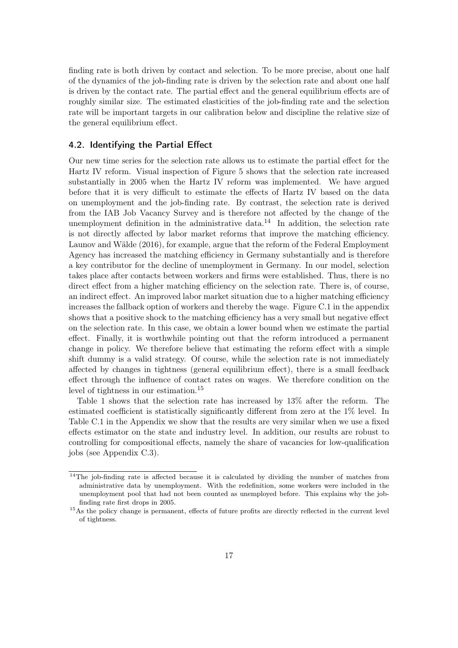finding rate is both driven by contact and selection. To be more precise, about one half of the dynamics of the job-finding rate is driven by the selection rate and about one half is driven by the contact rate. The partial effect and the general equilibrium effects are of roughly similar size. The estimated elasticities of the job-finding rate and the selection rate will be important targets in our calibration below and discipline the relative size of the general equilibrium effect.

#### <span id="page-16-0"></span>4.2. Identifying the Partial Effect

Our new time series for the selection rate allows us to estimate the partial effect for the Hartz IV reform. Visual inspection of Figure [5](#page-13-0) shows that the selection rate increased substantially in 2005 when the Hartz IV reform was implemented. We have argued before that it is very difficult to estimate the effects of Hartz IV based on the data on unemployment and the job-finding rate. By contrast, the selection rate is derived from the IAB Job Vacancy Survey and is therefore not affected by the change of the unemployment definition in the administrative data.<sup>[14](#page-16-1)</sup> In addition, the selection rate is not directly affected by labor market reforms that improve the matching efficiency. [Launov and Wälde](#page-27-10) [\(2016\)](#page-27-10), for example, argue that the reform of the Federal Employment Agency has increased the matching efficiency in Germany substantially and is therefore a key contributor for the decline of unemployment in Germany. In our model, selection takes place after contacts between workers and firms were established. Thus, there is no direct effect from a higher matching efficiency on the selection rate. There is, of course, an indirect effect. An improved labor market situation due to a higher matching efficiency increases the fallback option of workers and thereby the wage. Figure [C.1](#page-32-1) in the appendix shows that a positive shock to the matching efficiency has a very small but negative effect on the selection rate. In this case, we obtain a lower bound when we estimate the partial effect. Finally, it is worthwhile pointing out that the reform introduced a permanent change in policy. We therefore believe that estimating the reform effect with a simple shift dummy is a valid strategy. Of course, while the selection rate is not immediately affected by changes in tightness (general equilibrium effect), there is a small feedback effect through the influence of contact rates on wages. We therefore condition on the level of tightness in our estimation.<sup>[15](#page-16-2)</sup>

Table [1](#page-15-0) shows that the selection rate has increased by 13% after the reform. The estimated coefficient is statistically significantly different from zero at the 1% level. In Table [C.1](#page-32-0) in the Appendix we show that the results are very similar when we use a fixed effects estimator on the state and industry level. In addition, our results are robust to controlling for compositional effects, namely the share of vacancies for low-qualification jobs (see Appendix [C.3\)](#page-33-0).

<span id="page-16-1"></span><sup>&</sup>lt;sup>14</sup>The job-finding rate is affected because it is calculated by dividing the number of matches from administrative data by unemployment. With the redefinition, some workers were included in the unemployment pool that had not been counted as unemployed before. This explains why the jobfinding rate first drops in 2005.

<span id="page-16-2"></span><sup>&</sup>lt;sup>15</sup>As the policy change is permanent, effects of future profits are directly reflected in the current level of tightness.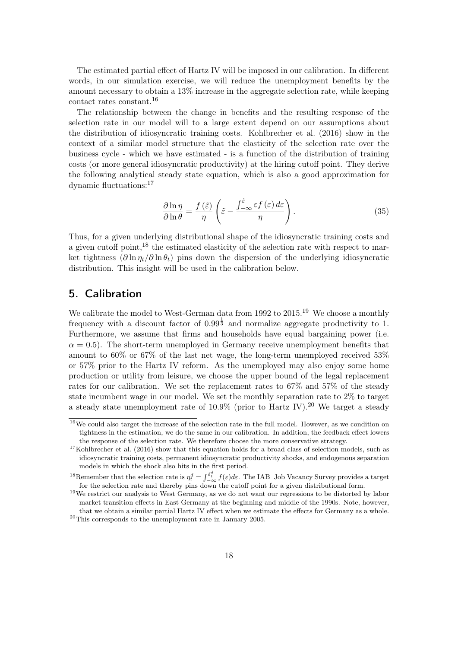The estimated partial effect of Hartz IV will be imposed in our calibration. In different words, in our simulation exercise, we will reduce the unemployment benefits by the amount necessary to obtain a 13% increase in the aggregate selection rate, while keeping contact rates constant.[16](#page-17-1)

The relationship between the change in benefits and the resulting response of the selection rate in our model will to a large extent depend on our assumptions about the distribution of idiosyncratic training costs. [Kohlbrecher et al.](#page-27-4) [\(2016\)](#page-27-4) show in the context of a similar model structure that the elasticity of the selection rate over the business cycle - which we have estimated - is a function of the distribution of training costs (or more general idiosyncratic productivity) at the hiring cutoff point. They derive the following analytical steady state equation, which is also a good approximation for dynamic fluctuations:[17](#page-17-2)

$$
\frac{\partial \ln \eta}{\partial \ln \theta} = \frac{f(\tilde{\varepsilon})}{\eta} \left( \tilde{\varepsilon} - \frac{\int_{-\infty}^{\tilde{\varepsilon}} \varepsilon f(\varepsilon) d\varepsilon}{\eta} \right). \tag{35}
$$

Thus, for a given underlying distributional shape of the idiosyncratic training costs and a given cutoff point,  $^{18}$  $^{18}$  $^{18}$  the estimated elasticity of the selection rate with respect to market tightness  $(\partial \ln \eta_t / \partial \ln \theta_t)$  pins down the dispersion of the underlying idiosyncratic distribution. This insight will be used in the calibration below.

# <span id="page-17-0"></span>5. Calibration

We calibrate the model to West-German data from [19](#page-17-4)92 to 2015.<sup>19</sup> We choose a monthly frequency with a discount factor of  $0.99^{\frac{1}{3}}$  and normalize aggregate productivity to 1. Furthermore, we assume that firms and households have equal bargaining power (i.e.  $\alpha = 0.5$ ). The short-term unemployed in Germany receive unemployment benefits that amount to 60% or 67% of the last net wage, the long-term unemployed received 53% or 57% prior to the Hartz IV reform. As the unemployed may also enjoy some home production or utility from leisure, we choose the upper bound of the legal replacement rates for our calibration. We set the replacement rates to 67% and 57% of the steady state incumbent wage in our model. We set the monthly separation rate to 2% to target a steady state unemployment rate of  $10.9\%$  (prior to Hartz IV).<sup>[20](#page-17-5)</sup> We target a steady

<span id="page-17-1"></span> $16$ We could also target the increase of the selection rate in the full model. However, as we condition on tightness in the estimation, we do the same in our calibration. In addition, the feedback effect lowers the response of the selection rate. We therefore choose the more conservative strategy.

<span id="page-17-2"></span> $17$ [Kohlbrecher et al.](#page-27-4) [\(2016\)](#page-27-4) show that this equation holds for a broad class of selection models, such as idiosyncratic training costs, permanent idiosyncratic productivity shocks, and endogenous separation models in which the shock also hits in the first period.

<span id="page-17-3"></span><sup>&</sup>lt;sup>18</sup>Remember that the selection rate is  $\eta_t^d = \int_{-\infty}^{\tilde{\varepsilon}_t^d} f(\varepsilon) d\varepsilon$ . The IAB Job Vacancy Survey provides a target for the selection rate and thereby pins down the cutoff point for a given distributional form.

<span id="page-17-5"></span><span id="page-17-4"></span><sup>&</sup>lt;sup>19</sup>We restrict our analysis to West Germany, as we do not want our regressions to be distorted by labor market transition effects in East Germany at the beginning and middle of the 1990s. Note, however, that we obtain a similar partial Hartz IV effect when we estimate the effects for Germany as a whole.  $^{20}\mathrm{This}$  corresponds to the unemployment rate in January 2005.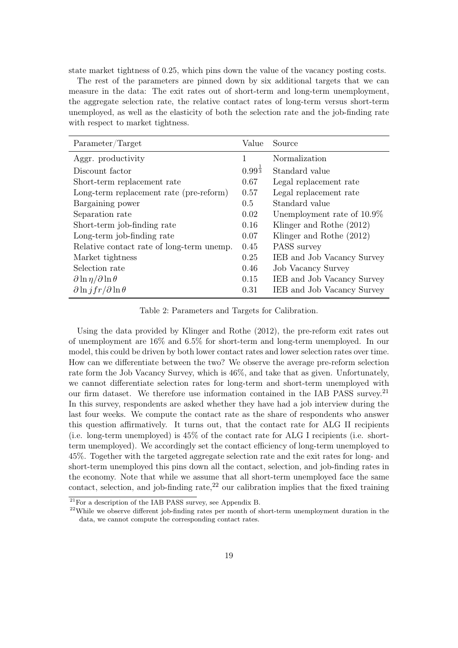state market tightness of 0.25, which pins down the value of the vacancy posting costs.

The rest of the parameters are pinned down by six additional targets that we can measure in the data: The exit rates out of short-term and long-term unemployment, the aggregate selection rate, the relative contact rates of long-term versus short-term unemployed, as well as the elasticity of both the selection rate and the job-finding rate with respect to market tightness.

| Parameter/Target                                 | Value                | Source                     |
|--------------------------------------------------|----------------------|----------------------------|
| Aggr. productivity                               | 1                    | Normalization              |
| Discount factor                                  | $0.99^{\frac{1}{3}}$ | Standard value             |
| Short-term replacement rate                      | 0.67                 | Legal replacement rate     |
| Long-term replacement rate (pre-reform)          | 0.57                 | Legal replacement rate     |
| Bargaining power                                 | $0.5^{\circ}$        | Standard value             |
| Separation rate                                  | 0.02                 | Unemployment rate of 10.9% |
| Short-term job-finding rate                      | 0.16                 | Klinger and Rothe (2012)   |
| Long-term job-finding rate                       | 0.07                 | Klinger and Rothe (2012)   |
| Relative contact rate of long-term unemp.        | 0.45                 | PASS survey                |
| Market tightness                                 | 0.25                 | IEB and Job Vacancy Survey |
| Selection rate                                   | 0.46                 | <b>Job Vacancy Survey</b>  |
| $\partial \ln \eta / \partial \ln \theta$        | 0.15                 | IEB and Job Vacancy Survey |
| $\partial \ln \frac{f}{r} / \partial \ln \theta$ | 0.31                 | IEB and Job Vacancy Survey |

Table 2: Parameters and Targets for Calibration.

Using the data provided by [Klinger and Rothe](#page-27-11) [\(2012\)](#page-27-11), the pre-reform exit rates out of unemployment are 16% and 6.5% for short-term and long-term unemployed. In our model, this could be driven by both lower contact rates and lower selection rates over time. How can we differentiate between the two? We observe the average pre-reform selection rate form the Job Vacancy Survey, which is 46%, and take that as given. Unfortunately, we cannot differentiate selection rates for long-term and short-term unemployed with our firm dataset. We therefore use information contained in the IAB PASS survey.<sup>[21](#page-18-0)</sup> In this survey, respondents are asked whether they have had a job interview during the last four weeks. We compute the contact rate as the share of respondents who answer this question affirmatively. It turns out, that the contact rate for ALG II recipients (i.e. long-term unemployed) is 45% of the contact rate for ALG I recipients (i.e. shortterm unemployed). We accordingly set the contact efficiency of long-term unemployed to 45%. Together with the targeted aggregate selection rate and the exit rates for long- and short-term unemployed this pins down all the contact, selection, and job-finding rates in the economy. Note that while we assume that all short-term unemployed face the same contact, selection, and job-finding rate, $^{22}$  $^{22}$  $^{22}$  our calibration implies that the fixed training

<span id="page-18-0"></span> $\frac{1}{21}$ For a description of the IAB PASS survey, see Appendix [B.](#page-30-0)

<span id="page-18-1"></span><sup>&</sup>lt;sup>22</sup>While we observe different job-finding rates per month of short-term unemployment duration in the data, we cannot compute the corresponding contact rates.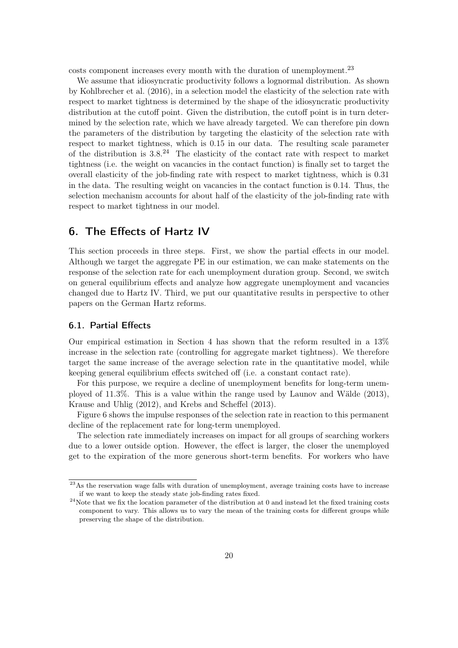costs component increases every month with the duration of unemployment.<sup>[23](#page-19-1)</sup>

We assume that idiosyncratic productivity follows a lognormal distribution. As shown by [Kohlbrecher et al.](#page-27-4) [\(2016\)](#page-27-4), in a selection model the elasticity of the selection rate with respect to market tightness is determined by the shape of the idiosyncratic productivity distribution at the cutoff point. Given the distribution, the cutoff point is in turn determined by the selection rate, which we have already targeted. We can therefore pin down the parameters of the distribution by targeting the elasticity of the selection rate with respect to market tightness, which is 0.15 in our data. The resulting scale parameter of the distribution is  $3.8^{24}$  $3.8^{24}$  $3.8^{24}$  The elasticity of the contact rate with respect to market tightness (i.e. the weight on vacancies in the contact function) is finally set to target the overall elasticity of the job-finding rate with respect to market tightness, which is 0.31 in the data. The resulting weight on vacancies in the contact function is 0.14. Thus, the selection mechanism accounts for about half of the elasticity of the job-finding rate with respect to market tightness in our model.

# 6. The Effects of Hartz IV

This section proceeds in three steps. First, we show the partial effects in our model. Although we target the aggregate PE in our estimation, we can make statements on the response of the selection rate for each unemployment duration group. Second, we switch on general equilibrium effects and analyze how aggregate unemployment and vacancies changed due to Hartz IV. Third, we put our quantitative results in perspective to other papers on the German Hartz reforms.

#### <span id="page-19-0"></span>6.1. Partial Effects

Our empirical estimation in Section [4](#page-10-0) has shown that the reform resulted in a 13% increase in the selection rate (controlling for aggregate market tightness). We therefore target the same increase of the average selection rate in the quantitative model, while keeping general equilibrium effects switched off (i.e. a constant contact rate).

For this purpose, we require a decline of unemployment benefits for long-term unemployed of 11.3%. This is a value within the range used by [Launov and Wälde](#page-27-2) [\(2013\)](#page-27-2), [Krause and Uhlig](#page-27-0) [\(2012\)](#page-27-0), and [Krebs and Scheffel](#page-27-1) [\(2013\)](#page-27-1).

Figure [6](#page-20-0) shows the impulse responses of the selection rate in reaction to this permanent decline of the replacement rate for long-term unemployed.

The selection rate immediately increases on impact for all groups of searching workers due to a lower outside option. However, the effect is larger, the closer the unemployed get to the expiration of the more generous short-term benefits. For workers who have

<span id="page-19-1"></span> $23\text{As}$  the reservation wage falls with duration of unemployment, average training costs have to increase if we want to keep the steady state job-finding rates fixed.

<span id="page-19-2"></span> $^{24}$ Note that we fix the location parameter of the distribution at 0 and instead let the fixed training costs component to vary. This allows us to vary the mean of the training costs for different groups while preserving the shape of the distribution.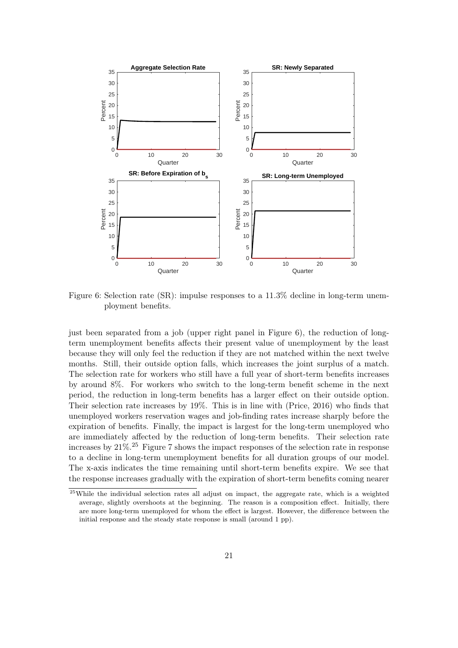<span id="page-20-0"></span>

Figure 6: Selection rate (SR): impulse responses to a 11.3% decline in long-term unemployment benefits.

just been separated from a job (upper right panel in Figure [6\)](#page-20-0), the reduction of longterm unemployment benefits affects their present value of unemployment by the least because they will only feel the reduction if they are not matched within the next twelve months. Still, their outside option falls, which increases the joint surplus of a match. The selection rate for workers who still have a full year of short-term benefits increases by around 8%. For workers who switch to the long-term benefit scheme in the next period, the reduction in long-term benefits has a larger effect on their outside option. Their selection rate increases by 19%. This is in line with [\(Price, 2016\)](#page-28-0) who finds that unemployed workers reservation wages and job-finding rates increase sharply before the expiration of benefits. Finally, the impact is largest for the long-term unemployed who are immediately affected by the reduction of long-term benefits. Their selection rate increases by  $21\%$ .<sup>[25](#page-20-1)</sup> Figure [7](#page-21-0) shows the impact responses of the selection rate in response to a decline in long-term unemployment benefits for all duration groups of our model. The x-axis indicates the time remaining until short-term benefits expire. We see that the response increases gradually with the expiration of short-term benefits coming nearer

<span id="page-20-1"></span><sup>&</sup>lt;sup>25</sup>While the individual selection rates all adjust on impact, the aggregate rate, which is a weighted average, slightly overshoots at the beginning. The reason is a composition effect. Initially, there are more long-term unemployed for whom the effect is largest. However, the difference between the initial response and the steady state response is small (around 1 pp).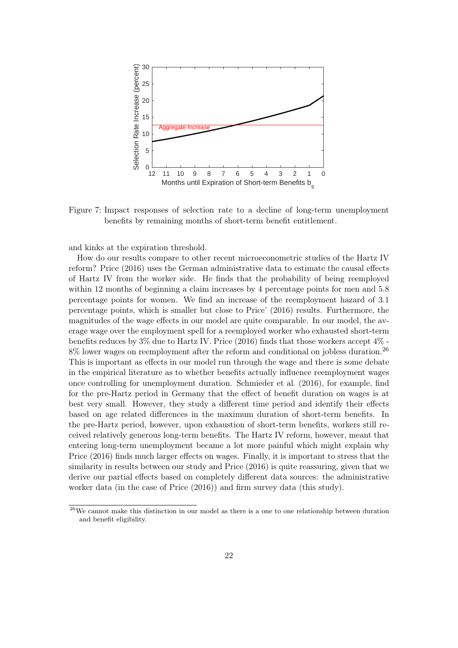<span id="page-21-0"></span>

Figure 7: Impact responses of selection rate to a decline of long-term unemployment benefits by remaining months of short-term benefit entitlement.

and kinks at the expiration threshold.

How do our results compare to other recent microeconometric studies of the Hartz IV reform? [Price](#page-28-0) [\(2016\)](#page-28-0) uses the German administrative data to estimate the causal effects of Hartz IV from the worker side. He finds that the probability of being reemployed within 12 months of beginning a claim increases by 4 percentage points for men and 5.8 percentage points for women. We find an increase of the reemployment hazard of 3.1 percentage points, which is smaller but close to [Price'](#page-28-0) [\(2016\)](#page-28-0) results. Furthermore, the magnitudes of the wage effects in our model are quite comparable. In our model, the average wage over the employment spell for a reemployed worker who exhausted short-term benefits reduces by 3% due to Hartz IV. [Price](#page-28-0) [\(2016\)](#page-28-0) finds that those workers accept 4% -  $8\%$  lower wages on reemployment after the reform and conditional on jobless duration.<sup>[26](#page-21-1)</sup> This is important as effects in our model run through the wage and there is some debate in the empirical literature as to whether benefits actually influence reemployment wages once controlling for unemployment duration. [Schmieder et al.](#page-28-4) [\(2016\)](#page-28-4), for example, find for the pre-Hartz period in Germany that the effect of benefit duration on wages is at best very small. However, they study a different time period and identify their effects based on age related differences in the maximum duration of short-term benefits. In the pre-Hartz period, however, upon exhaustion of short-term benefits, workers still received relatively generous long-term benefits. The Hartz IV reform, however, meant that entering long-term unemployment became a lot more painful which might explain why [Price](#page-28-0) [\(2016\)](#page-28-0) finds much larger effects on wages. Finally, it is important to stress that the similarity in results between our study and [Price](#page-28-0) [\(2016\)](#page-28-0) is quite reassuring, given that we derive our partial effects based on completely different data sources: the administrative worker data (in the case of [Price](#page-28-0) [\(2016\)](#page-28-0)) and firm survey data (this study).

<span id="page-21-1"></span> $26$ We cannot make this distinction in our model as there is a one to one relationship between duration and benefit eligibility.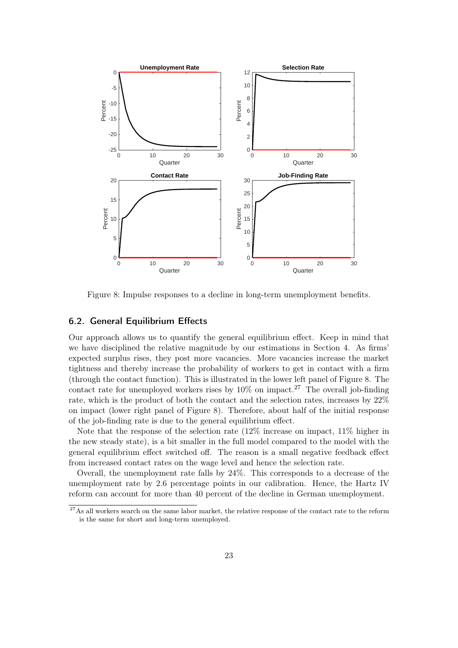<span id="page-22-0"></span>

Figure 8: Impulse responses to a decline in long-term unemployment benefits.

#### 6.2. General Equilibrium Effects

Our approach allows us to quantify the general equilibrium effect. Keep in mind that we have disciplined the relative magnitude by our estimations in Section [4.](#page-10-0) As firms' expected surplus rises, they post more vacancies. More vacancies increase the market tightness and thereby increase the probability of workers to get in contact with a firm (through the contact function). This is illustrated in the lower left panel of Figure [8.](#page-22-0) The contact rate for unemployed workers rises by  $10\%$  on impact.<sup>[27](#page-22-1)</sup> The overall job-finding rate, which is the product of both the contact and the selection rates, increases by 22% on impact (lower right panel of Figure [8\)](#page-22-0). Therefore, about half of the initial response of the job-finding rate is due to the general equilibrium effect.

Note that the response of the selection rate (12% increase on impact, 11% higher in the new steady state), is a bit smaller in the full model compared to the model with the general equilibrium effect switched off. The reason is a small negative feedback effect from increased contact rates on the wage level and hence the selection rate.

Overall, the unemployment rate falls by 24%. This corresponds to a decrease of the unemployment rate by 2.6 percentage points in our calibration. Hence, the Hartz IV reform can account for more than 40 percent of the decline in German unemployment.

<span id="page-22-1"></span> $27\text{As all workers search on the same labor market, the relative response of the contact rate to the reform.}$ is the same for short and long-term unemployed.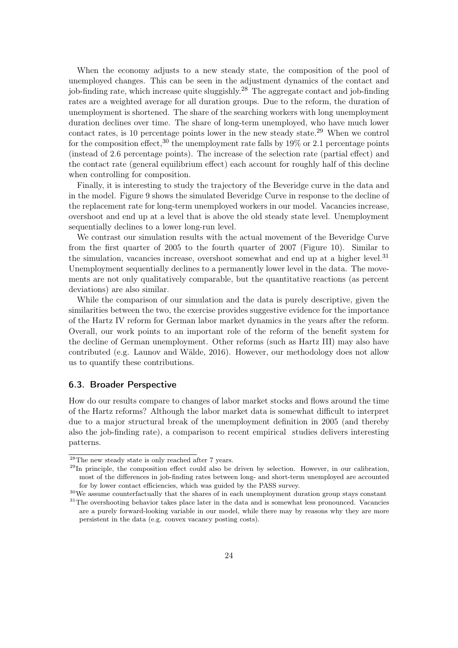When the economy adjusts to a new steady state, the composition of the pool of unemployed changes. This can be seen in the adjustment dynamics of the contact and job-finding rate, which increase quite sluggishly.<sup>[28](#page-23-0)</sup> The aggregate contact and job-finding rates are a weighted average for all duration groups. Due to the reform, the duration of unemployment is shortened. The share of the searching workers with long unemployment duration declines over time. The share of long-term unemployed, who have much lower contact rates, is 10 percentage points lower in the new steady state.<sup>[29](#page-23-1)</sup> When we control for the composition effect,<sup>[30](#page-23-2)</sup> the unemployment rate falls by  $19\%$  or 2.1 percentage points (instead of 2.6 percentage points). The increase of the selection rate (partial effect) and the contact rate (general equilibrium effect) each account for roughly half of this decline when controlling for composition.

Finally, it is interesting to study the trajectory of the Beveridge curve in the data and in the model. Figure [9](#page-24-0) shows the simulated Beveridge Curve in response to the decline of the replacement rate for long-term unemployed workers in our model. Vacancies increase, overshoot and end up at a level that is above the old steady state level. Unemployment sequentially declines to a lower long-run level.

We contrast our simulation results with the actual movement of the Beveridge Curve from the first quarter of 2005 to the fourth quarter of 2007 (Figure [10\)](#page-24-1). Similar to the simulation, vacancies increase, overshoot somewhat and end up at a higher level.<sup>[31](#page-23-3)</sup> Unemployment sequentially declines to a permanently lower level in the data. The movements are not only qualitatively comparable, but the quantitative reactions (as percent deviations) are also similar.

While the comparison of our simulation and the data is purely descriptive, given the similarities between the two, the exercise provides suggestive evidence for the importance of the Hartz IV reform for German labor market dynamics in the years after the reform. Overall, our work points to an important role of the reform of the benefit system for the decline of German unemployment. Other reforms (such as Hartz III) may also have contributed (e.g. [Launov and Wälde, 2016\)](#page-27-10). However, our methodology does not allow us to quantify these contributions.

#### 6.3. Broader Perspective

How do our results compare to changes of labor market stocks and flows around the time of the Hartz reforms? Although the labor market data is somewhat difficult to interpret due to a major structural break of the unemployment definition in 2005 (and thereby also the job-finding rate), a comparison to recent empirical studies delivers interesting patterns.

<span id="page-23-0"></span> $^{28}{\rm The}$  new steady state is only reached after 7 years.

<span id="page-23-1"></span> $^{29}$ In principle, the composition effect could also be driven by selection. However, in our calibration, most of the differences in job-finding rates between long- and short-term unemployed are accounted for by lower contact efficiencies, which was guided by the PASS survey.

<span id="page-23-3"></span><span id="page-23-2"></span><sup>30</sup>We assume counterfactually that the shares of in each unemployment duration group stays constant <sup>31</sup>The overshooting behavior takes place later in the data and is somewhat less pronounced. Vacancies are a purely forward-looking variable in our model, while there may by reasons why they are more

persistent in the data (e.g. convex vacancy posting costs).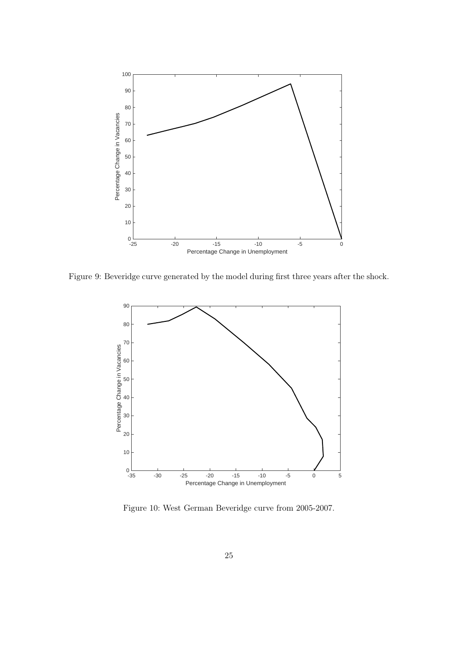<span id="page-24-0"></span>

<span id="page-24-1"></span>Figure 9: Beveridge curve generated by the model during first three years after the shock.



Figure 10: West German Beveridge curve from 2005-2007.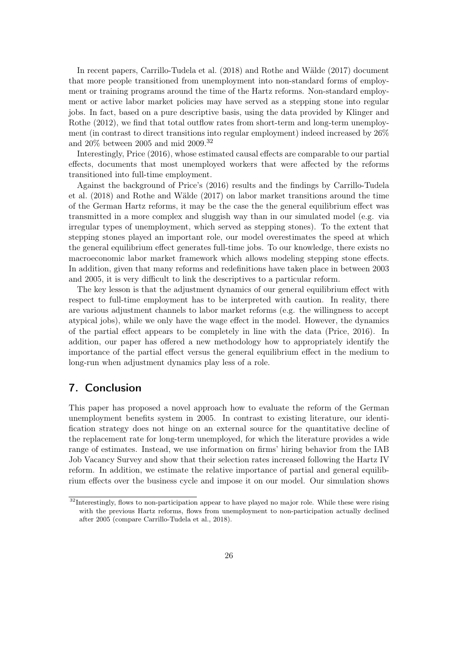In recent papers, [Carrillo-Tudela et al.](#page-27-12) [\(2018\)](#page-27-12) and [Rothe and Wälde](#page-28-5) [\(2017\)](#page-28-5) document that more people transitioned from unemployment into non-standard forms of employment or training programs around the time of the Hartz reforms. Non-standard employment or active labor market policies may have served as a stepping stone into regular jobs. In fact, based on a pure descriptive basis, using the data provided by [Klinger and](#page-27-11) [Rothe](#page-27-11) [\(2012\)](#page-27-11), we find that total outflow rates from short-term and long-term unemployment (in contrast to direct transitions into regular employment) indeed increased by 26% and 20% between 2005 and mid 2009.[32](#page-25-1)

Interestingly, [Price](#page-28-0) [\(2016\)](#page-28-0), whose estimated causal effects are comparable to our partial effects, documents that most unemployed workers that were affected by the reforms transitioned into full-time employment.

Against the background of [Price'](#page-28-0)s [\(2016\)](#page-28-0) results and the findings by [Carrillo-Tudela](#page-27-12) [et al.](#page-27-12) [\(2018\)](#page-27-12) and [Rothe and Wälde](#page-28-5) [\(2017\)](#page-28-5) on labor market transitions around the time of the German Hartz reforms, it may be the case the the general equilibrium effect was transmitted in a more complex and sluggish way than in our simulated model (e.g. via irregular types of unemployment, which served as stepping stones). To the extent that stepping stones played an important role, our model overestimates the speed at which the general equilibrium effect generates full-time jobs. To our knowledge, there exists no macroeconomic labor market framework which allows modeling stepping stone effects. In addition, given that many reforms and redefinitions have taken place in between 2003 and 2005, it is very difficult to link the descriptives to a particular reform.

The key lesson is that the adjustment dynamics of our general equilibrium effect with respect to full-time employment has to be interpreted with caution. In reality, there are various adjustment channels to labor market reforms (e.g. the willingness to accept atypical jobs), while we only have the wage effect in the model. However, the dynamics of the partial effect appears to be completely in line with the data [\(Price, 2016\)](#page-28-0). In addition, our paper has offered a new methodology how to appropriately identify the importance of the partial effect versus the general equilibrium effect in the medium to long-run when adjustment dynamics play less of a role.

# <span id="page-25-0"></span>7. Conclusion

This paper has proposed a novel approach how to evaluate the reform of the German unemployment benefits system in 2005. In contrast to existing literature, our identification strategy does not hinge on an external source for the quantitative decline of the replacement rate for long-term unemployed, for which the literature provides a wide range of estimates. Instead, we use information on firms' hiring behavior from the IAB Job Vacancy Survey and show that their selection rates increased following the Hartz IV reform. In addition, we estimate the relative importance of partial and general equilibrium effects over the business cycle and impose it on our model. Our simulation shows

<span id="page-25-1"></span><sup>&</sup>lt;sup>32</sup>Interestingly, flows to non-participation appear to have played no major role. While these were rising with the previous Hartz reforms, flows from unemployment to non-participation actually declined after 2005 (compare [Carrillo-Tudela et al., 2018\)](#page-27-12).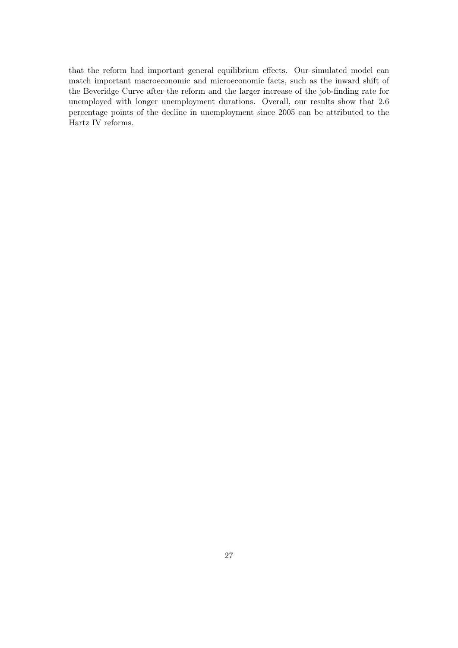that the reform had important general equilibrium effects. Our simulated model can match important macroeconomic and microeconomic facts, such as the inward shift of the Beveridge Curve after the reform and the larger increase of the job-finding rate for unemployed with longer unemployment durations. Overall, our results show that 2.6 percentage points of the decline in unemployment since 2005 can be attributed to the Hartz IV reforms.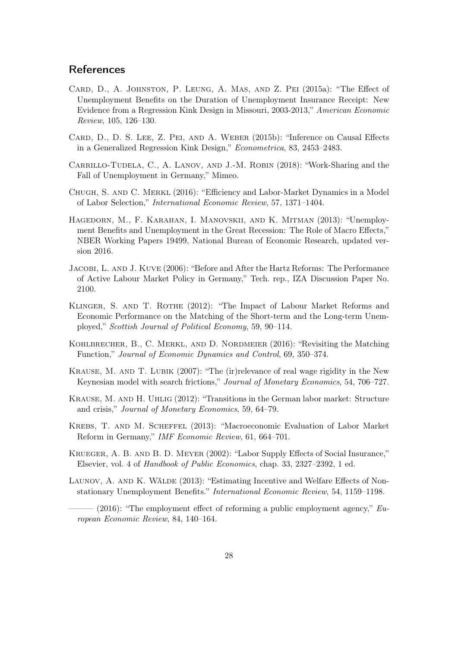# **References**

- <span id="page-27-6"></span>Card, D., A. Johnston, P. Leung, A. Mas, and Z. Pei (2015a): "The Effect of Unemployment Benefits on the Duration of Unemployment Insurance Receipt: New Evidence from a Regression Kink Design in Missouri, 2003-2013," American Economic Review, 105, 126–130.
- <span id="page-27-7"></span>Card, D., D. S. Lee, Z. Pei, and A. Weber (2015b): "Inference on Causal Effects in a Generalized Regression Kink Design," Econometrica, 83, 2453–2483.
- <span id="page-27-12"></span>Carrillo-Tudela, C., A. Lanov, and J.-M. Robin (2018): "Work-Sharing and the Fall of Unemployment in Germany," Mimeo.
- <span id="page-27-3"></span>Chugh, S. and C. Merkl (2016): "Efficiency and Labor-Market Dynamics in a Model of Labor Selection," International Economic Review, 57, 1371–1404.
- <span id="page-27-8"></span>Hagedorn, M., F. Karahan, I. Manovskii, and K. Mitman (2013): "Unemployment Benefits and Unemployment in the Great Recession: The Role of Macro Effects," NBER Working Papers 19499, National Bureau of Economic Research, updated version 2016.
- <span id="page-27-13"></span>Jacobi, L. and J. Kuve (2006): "Before and After the Hartz Reforms: The Performance of Active Labour Market Policy in Germany," Tech. rep., IZA Discussion Paper No. 2100.
- <span id="page-27-11"></span>KLINGER, S. AND T. ROTHE (2012): "The Impact of Labour Market Reforms and Economic Performance on the Matching of the Short-term and the Long-term Unemployed," Scottish Journal of Political Economy, 59, 90–114.
- <span id="page-27-4"></span>Kohlbrecher, B., C. Merkl, and D. Nordmeier (2016): "Revisiting the Matching Function," Journal of Economic Dynamics and Control, 69, 350–374.
- <span id="page-27-9"></span>Krause, M. and T. Lubik (2007): "The (ir)relevance of real wage rigidity in the New Keynesian model with search frictions," Journal of Monetary Economics, 54, 706–727.
- <span id="page-27-0"></span>Krause, M. and H. Uhlig (2012): "Transitions in the German labor market: Structure and crisis," Journal of Monetary Economics, 59, 64–79.
- <span id="page-27-1"></span>Krebs, T. and M. Scheffel (2013): "Macroeconomic Evaluation of Labor Market Reform in Germany," IMF Economic Review, 61, 664–701.
- <span id="page-27-5"></span>Krueger, A. B. and B. D. Meyer (2002): "Labor Supply Effects of Social Insurance," Elsevier, vol. 4 of Handbook of Public Economics, chap. 33, 2327–2392, 1 ed.
- <span id="page-27-10"></span><span id="page-27-2"></span>LAUNOV, A. AND K. WÄLDE (2013): "Estimating Incentive and Welfare Effects of Nonstationary Unemployment Benefits." International Economic Review, 54, 1159–1198.
	- $(2016)$ : "The employment effect of reforming a public employment agency," European Economic Review, 84, 140–164.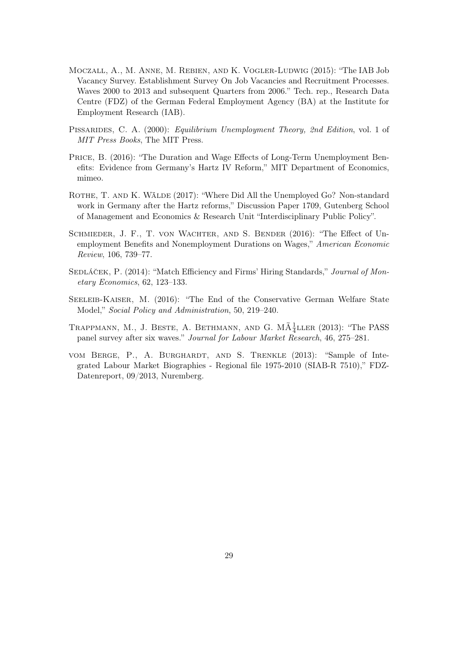- <span id="page-28-6"></span>Moczall, A., M. Anne, M. Rebien, and K. Vogler-Ludwig (2015): "The IAB Job Vacancy Survey. Establishment Survey On Job Vacancies and Recruitment Processes. Waves 2000 to 2013 and subsequent Quarters from 2006." Tech. rep., Research Data Centre (FDZ) of the German Federal Employment Agency (BA) at the Institute for Employment Research (IAB).
- <span id="page-28-2"></span>PISSARIDES, C. A. (2000): *Equilibrium Unemployment Theory, 2nd Edition*, vol. 1 of MIT Press Books, The MIT Press.
- <span id="page-28-0"></span>Price, B. (2016): "The Duration and Wage Effects of Long-Term Unemployment Benefits: Evidence from Germany's Hartz IV Reform," MIT Department of Economics, mimeo.
- <span id="page-28-5"></span>ROTHE, T. AND K. WÄLDE (2017): "Where Did All the Unemployed Go? Non-standard work in Germany after the Hartz reforms," Discussion Paper 1709, Gutenberg School of Management and Economics & Research Unit "Interdisciplinary Public Policy".
- <span id="page-28-4"></span>Schmieder, J. F., T. von Wachter, and S. Bender (2016): "The Effect of Unemployment Benefits and Nonemployment Durations on Wages," American Economic Review, 106, 739–77.
- <span id="page-28-3"></span>SEDLÁČEK, P. (2014): "Match Efficiency and Firms' Hiring Standards," Journal of Monetary Economics, 62, 123–133.
- <span id="page-28-1"></span>Seeleib-Kaiser, M. (2016): "The End of the Conservative German Welfare State Model," Social Policy and Administration, 50, 219–240.
- <span id="page-28-8"></span>TRAPPMANN, M., J. BESTE, A. BETHMANN, AND G.  $M\tilde{A}$ <sup>1</sup><sub>4</sub>LLER (2013): "The PASS panel survey after six waves." Journal for Labour Market Research, 46, 275–281.
- <span id="page-28-7"></span>vom Berge, P., A. Burghardt, and S. Trenkle (2013): "Sample of Integrated Labour Market Biographies - Regional file 1975-2010 (SIAB-R 7510)," FDZ-Datenreport, 09/2013, Nuremberg.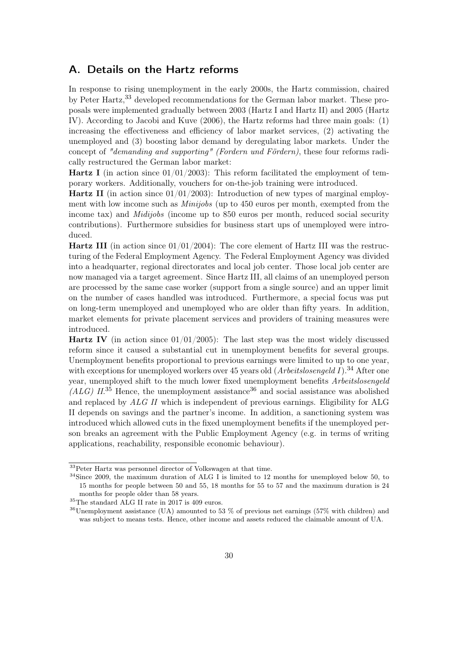# <span id="page-29-0"></span>A. Details on the Hartz reforms

In response to rising unemployment in the early 2000s, the Hartz commission, chaired by Peter Hartz,[33](#page-29-1) developed recommendations for the German labor market. These proposals were implemented gradually between 2003 (Hartz I and Hartz II) and 2005 (Hartz IV). According to [Jacobi and Kuve](#page-27-13) [\(2006\)](#page-27-13), the Hartz reforms had three main goals: (1) increasing the effectiveness and efficiency of labor market services, (2) activating the unemployed and (3) boosting labor demand by deregulating labor markets. Under the concept of "demanding and supporting" (Fordern und Fördern), these four reforms radically restructured the German labor market:

**Hartz I** (in action since  $01/01/2003$ ): This reform facilitated the employment of temporary workers. Additionally, vouchers for on-the-job training were introduced.

**Hartz II** (in action since  $01/01/2003$ ): Introduction of new types of marginal employment with low income such as Minijobs (up to 450 euros per month, exempted from the income tax) and *Midijobs* (income up to 850 euros per month, reduced social security contributions). Furthermore subsidies for business start ups of unemployed were introduced.

**Hartz III** (in action since  $01/01/2004$ ): The core element of Hartz III was the restructuring of the Federal Employment Agency. The Federal Employment Agency was divided into a headquarter, regional directorates and local job center. Those local job center are now managed via a target agreement. Since Hartz III, all claims of an unemployed person are processed by the same case worker (support from a single source) and an upper limit on the number of cases handled was introduced. Furthermore, a special focus was put on long-term unemployed and unemployed who are older than fifty years. In addition, market elements for private placement services and providers of training measures were introduced.

**Hartz IV** (in action since  $01/01/2005$ ): The last step was the most widely discussed reform since it caused a substantial cut in unemployment benefits for several groups. Unemployment benefits proportional to previous earnings were limited to up to one year, with exceptions for unemployed workers over 45 years old  $(Arbetlslosengeld I)^{34}$  $(Arbetlslosengeld I)^{34}$  $(Arbetlslosengeld I)^{34}$  After one year, unemployed shift to the much lower fixed unemployment benefits Arbeitslosengeld  $(ALG)$   $II^{35}$  $II^{35}$  $II^{35}$  Hence, the unemployment assistance<sup>[36](#page-29-4)</sup> and social assistance was abolished and replaced by ALG II which is independent of previous earnings. Eligibility for ALG II depends on savings and the partner's income. In addition, a sanctioning system was introduced which allowed cuts in the fixed unemployment benefits if the unemployed person breaks an agreement with the Public Employment Agency (e.g. in terms of writing applications, reachability, responsible economic behaviour).

<span id="page-29-1"></span><sup>&</sup>lt;sup>33</sup>Peter Hartz was personnel director of Volkswagen at that time.

<span id="page-29-2"></span><sup>&</sup>lt;sup>34</sup>Since 2009, the maximum duration of ALG I is limited to 12 months for unemployed below 50, to 15 months for people between 50 and 55, 18 months for 55 to 57 and the maximum duration is 24 months for people older than 58 years.

<span id="page-29-3"></span> $^{35}\mathrm{The\ standard\ ALG\ II}$  rate in 2017 is 409 euros.

<span id="page-29-4"></span> $36$ Unemployment assistance (UA) amounted to 53 % of previous net earnings (57% with children) and was subject to means tests. Hence, other income and assets reduced the claimable amount of UA.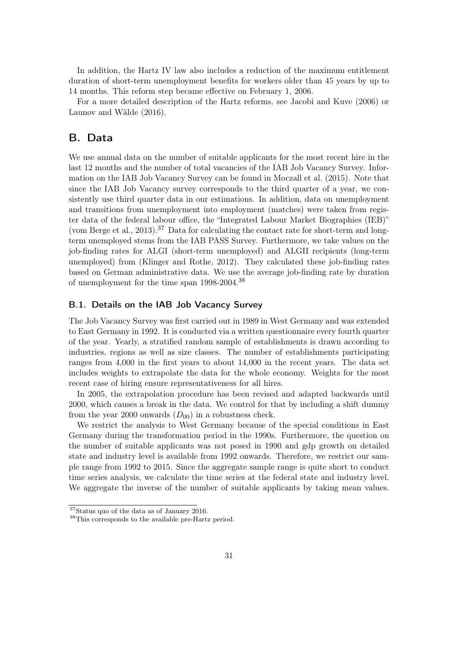In addition, the Hartz IV law also includes a reduction of the maximum entitlement duration of short-term unemployment benefits for workers older than 45 years by up to 14 months. This reform step became effective on February 1, 2006.

For a more detailed description of the Hartz reforms, see [Jacobi and Kuve](#page-27-13) [\(2006\)](#page-27-13) or [Launov and Wälde](#page-27-10) [\(2016\)](#page-27-10).

## <span id="page-30-0"></span>B. Data

We use annual data on the number of suitable applicants for the most recent hire in the last 12 months and the number of total vacancies of the IAB Job Vacancy Survey. Information on the IAB Job Vacancy Survey can be found in [Moczall et al.](#page-28-6) [\(2015\)](#page-28-6). Note that since the IAB Job Vacancy survey corresponds to the third quarter of a year, we consistently use third quarter data in our estimations. In addition, data on unemployment and transitions from unemployment into employment (matches) were taken from register data of the federal labour office, the "Integrated Labour Market Biographies (IEB)" [\(vom Berge et al., 2013\)](#page-28-7).<sup>[37](#page-30-1)</sup> Data for calculating the contact rate for short-term and longterm unemployed stems from the IAB PASS Survey. Furthermore, we take values on the job-finding rates for ALGI (short-term unemployed) and ALGII recipients (long-term unemployed) from [\(Klinger and Rothe, 2012\)](#page-27-11). They calculated these job-finding rates based on German administrative data. We use the average job-finding rate by duration of unemployment for the time span 1998-2004.[38](#page-30-2)

#### B.1. Details on the IAB Job Vacancy Survey

The Job Vacancy Survey was first carried out in 1989 in West Germany and was extended to East Germany in 1992. It is conducted via a written questionnaire every fourth quarter of the year. Yearly, a stratified random sample of establishments is drawn according to industries, regions as well as size classes. The number of establishments participating ranges from 4,000 in the first years to about 14,000 in the recent years. The data set includes weights to extrapolate the data for the whole economy. Weights for the most recent case of hiring ensure representativeness for all hires.

In 2005, the extrapolation procedure has been revised and adapted backwards until 2000, which causes a break in the data. We control for that by including a shift dummy from the year 2000 onwards  $(D_{00})$  in a robustness check.

We restrict the analysis to West Germany because of the special conditions in East Germany during the transformation period in the 1990s. Furthermore, the question on the number of suitable applicants was not posed in 1990 and gdp growth on detailed state and industry level is available from 1992 onwards. Therefore, we restrict our sample range from 1992 to 2015. Since the aggregate sample range is quite short to conduct time series analysis, we calculate the time series at the federal state and industry level. We aggregate the inverse of the number of suitable applicants by taking mean values.

<span id="page-30-1"></span><sup>37</sup>Status quo of the data as of January 2016.

<span id="page-30-2"></span><sup>38</sup>This corresponds to the available pre-Hartz period.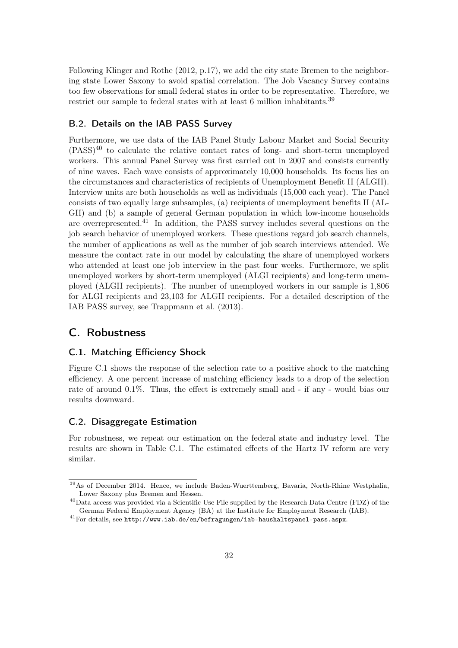Following [Klinger and Rothe](#page-27-11) [\(2012,](#page-27-11) p.17), we add the city state Bremen to the neighboring state Lower Saxony to avoid spatial correlation. The Job Vacancy Survey contains too few observations for small federal states in order to be representative. Therefore, we restrict our sample to federal states with at least 6 million inhabitants.<sup>[39](#page-31-0)</sup>

#### B.2. Details on the IAB PASS Survey

Furthermore, we use data of the IAB Panel Study Labour Market and Social Security  $(PASS)^{40}$  $(PASS)^{40}$  $(PASS)^{40}$  to calculate the relative contact rates of long- and short-term unemployed workers. This annual Panel Survey was first carried out in 2007 and consists currently of nine waves. Each wave consists of approximately 10,000 households. Its focus lies on the circumstances and characteristics of recipients of Unemployment Benefit II (ALGII). Interview units are both households as well as individuals (15,000 each year). The Panel consists of two equally large subsamples, (a) recipients of unemployment benefits II (AL-GII) and (b) a sample of general German population in which low-income households are overrepresented.[41](#page-31-2) In addition, the PASS survey includes several questions on the job search behavior of unemployed workers. These questions regard job search channels, the number of applications as well as the number of job search interviews attended. We measure the contact rate in our model by calculating the share of unemployed workers who attended at least one job interview in the past four weeks. Furthermore, we split unemployed workers by short-term unemployed (ALGI recipients) and long-term unemployed (ALGII recipients). The number of unemployed workers in our sample is 1,806 for ALGI recipients and 23,103 for ALGII recipients. For a detailed description of the IAB PASS survey, see [Trappmann et al.](#page-28-8) [\(2013\)](#page-28-8).

# C. Robustness

#### C.1. Matching Efficiency Shock

Figure [C.1](#page-32-1) shows the response of the selection rate to a positive shock to the matching efficiency. A one percent increase of matching efficiency leads to a drop of the selection rate of around 0.1%. Thus, the effect is extremely small and - if any - would bias our results downward.

#### C.2. Disaggregate Estimation

For robustness, we repeat our estimation on the federal state and industry level. The results are shown in Table [C.1.](#page-32-0) The estimated effects of the Hartz IV reform are very similar.

<span id="page-31-0"></span><sup>39</sup>As of December 2014. Hence, we include Baden-Wuerttemberg, Bavaria, North-Rhine Westphalia, Lower Saxony plus Bremen and Hessen.

<span id="page-31-1"></span><sup>40</sup>Data access was provided via a Scientific Use File supplied by the Research Data Centre (FDZ) of the German Federal Employment Agency (BA) at the Institute for Employment Research (IAB).

<span id="page-31-2"></span> $^{41}\rm{For\ details, see \ http://www.iab.de/en/befragungen/jab-haushaltspanel-pass.aspx.}$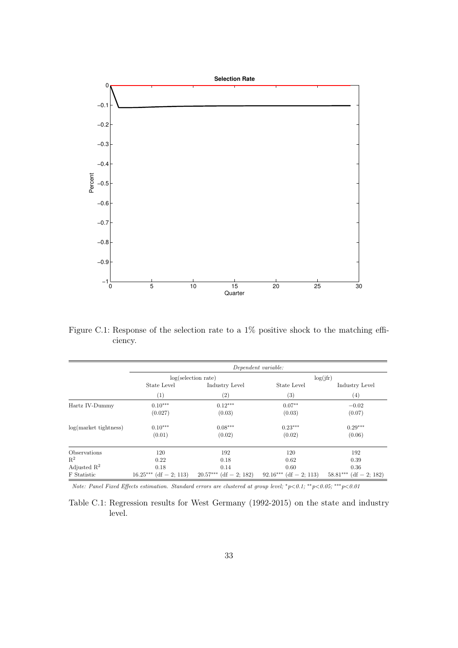<span id="page-32-1"></span>

Figure C.1: Response of the selection rate to a 1% positive shock to the matching efficiency.

<span id="page-32-0"></span>

|                         | Dependent variable:           |                               |                          |                               |
|-------------------------|-------------------------------|-------------------------------|--------------------------|-------------------------------|
|                         | log(selection rate)           |                               | log(jfr)                 |                               |
|                         | State Level                   | Industry Level                | State Level              | Industry Level                |
|                         | (1)                           | $\left( 2\right)$             | $\left(3\right)$         | $^{(4)}$                      |
| Hartz IV-Dummy          | $0.10***$                     | $0.12***$                     | $0.07**$                 | $-0.02$                       |
|                         | (0.027)                       | (0.03)                        | (0.03)                   | (0.07)                        |
| $log(maxket$ tightness) | $0.10***$                     | $0.08***$                     | $0.23***$                | $0.29***$                     |
|                         | (0.01)                        | (0.02)                        | (0.02)                   | (0.06)                        |
| Observations            | 120                           | 192                           | 120                      | 192                           |
| $\mathbb{R}^2$          | 0.22                          | 0.18                          | 0.62                     | 0.39                          |
| Adjusted $\mathbb{R}^2$ | 0.18                          | 0.14                          | 0.60                     | 0.36                          |
| F Statistic             | $(df = 2; 113)$<br>$16.25***$ | $(df = 2; 182)$<br>$20.57***$ | $92.16***$ (df = 2; 113) | $(df = 2; 182)$<br>$58.81***$ |

Note: Panel Fixed Effects estimation. Standard errors are clustered at group level; <sup>∗</sup>p<0.1; ∗∗p<0.05; ∗∗∗p<0.01

Table C.1: Regression results for West Germany (1992-2015) on the state and industry level.